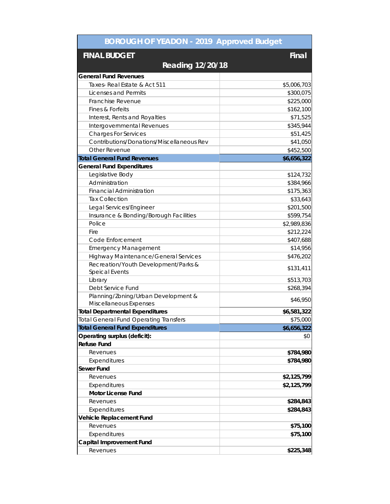| <b>BOROUGH OF YEADON - 2019 Approved Budget</b>  |             |
|--------------------------------------------------|-------------|
| <b>FINAL BUDGET</b>                              | Final       |
| <b>Reading 12/20/18</b>                          |             |
| <b>General Fund Revenues</b>                     |             |
| Taxes-Real Estate & Act 511                      | \$5,006,703 |
| Licenses and Permits                             | \$300,075   |
| Franchise Revenue                                | \$225,000   |
| Fines & Forfeits                                 | \$162,100   |
| Interest, Rents and Royalties                    | \$71,525    |
| Intergovernmental Revenues                       | \$345,944   |
| <b>Charges For Services</b>                      | \$51,425    |
| <b>Contributions/Donations/Miscellaneous Rev</b> | \$41,050    |
| Other Revenue                                    | \$452,500   |
| <b>Total General Fund Revenues</b>               | \$6,656,322 |
| <b>General Fund Expenditures</b>                 |             |
| Legislative Body                                 | \$124,732   |
| Administration                                   | \$384,966   |
| <b>Financial Administration</b>                  | \$175,363   |
| <b>Tax Collection</b>                            | \$33,643    |
| Legal Services/Engineer                          | \$201,500   |
| Insurance & Bonding/Borough Facilities           | \$599,754   |
| Police                                           | \$2,989,836 |
| Fire                                             | \$212,224   |
| Code Enforcement                                 | \$407,688   |
| <b>Emergency Management</b>                      | \$14,956    |
| Highway Maintenance/General Services             | \$476,202   |
| Recreation/Youth Development/Parks &             | \$131,411   |
| <b>Speical Events</b>                            |             |
| Library                                          | \$513,703   |
| Debt Service Fund                                | \$268,394   |
| Planning/Zoning/Urban Development &              | \$46,950    |
| Miscellaneous Expenses                           |             |
| <b>Total Departmental Expenditures</b>           | \$6,581,322 |
| Total General Fund Operating Transfers           | \$75,000    |
| <b>Total General Fund Expenditures</b>           | \$6,656,322 |
| Operating surplus (deficit):                     | \$0         |
| <b>Refuse Fund</b>                               |             |
| Revenues                                         | \$784,980   |
| Expenditures                                     | \$784,980   |
| <b>Sewer Fund</b>                                |             |
| Revenues                                         | \$2,125,799 |
| Expenditures                                     | \$2,125,799 |
| <b>Motor License Fund</b>                        |             |
| Revenues                                         | \$284,843   |
| Expenditures                                     | \$284,843   |
| Vehicle Replacement Fund                         |             |
| Revenues                                         | \$75,100    |
| Expenditures                                     | \$75,100    |
| Capital Improvement Fund                         |             |
| Revenues                                         | \$225,348   |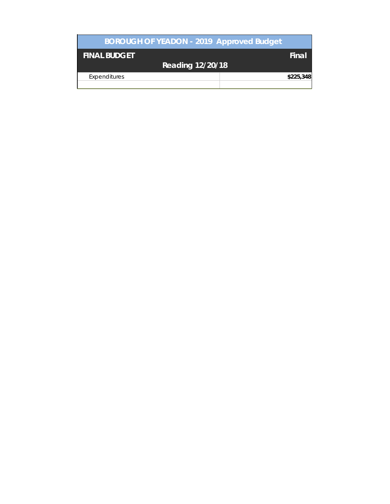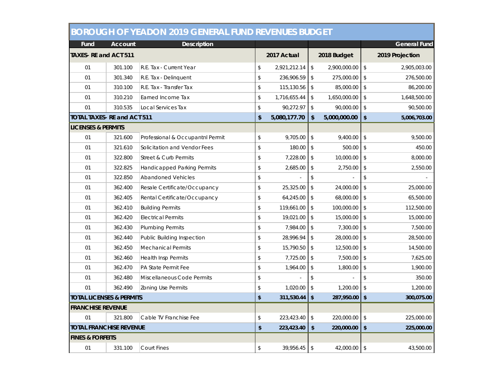|                                     | <b>BOROUGH OF YEADON 2019 GENERAL FUND REVENUES BUDGET</b> |                                    |                |                   |                         |              |                         |                     |  |  |
|-------------------------------------|------------------------------------------------------------|------------------------------------|----------------|-------------------|-------------------------|--------------|-------------------------|---------------------|--|--|
| Fund                                | <b>Account</b>                                             | <b>Description</b>                 |                |                   |                         |              |                         | <b>General Fund</b> |  |  |
| TAXES- RE and ACT 511               |                                                            |                                    | 2017 Actual    |                   |                         | 2018 Budget  |                         | 2019 Projection     |  |  |
| 01                                  | 301.100                                                    | R.E. Tax - Current Year            | \$             | $2,921,212.14$ \$ |                         | 2,900,000.00 | $\sqrt{2}$              | 2,905,003.00        |  |  |
| 01                                  | 301.340                                                    | R.E. Tax - Delinquent              | \$             | 236,906.59        | \$                      | 275,000.00   | $\mathfrak{S}$          | 276,500.00          |  |  |
| 01                                  | 310.100                                                    | R.E. Tax - Transfer Tax            | \$             | 115,130.56        | $\sqrt[6]{\frac{1}{2}}$ | 85,000.00    | $\mathfrak{S}$          | 86,200.00           |  |  |
| 01                                  | 310.210                                                    | Earned Income Tax                  | $$\mathbb{S}$$ | 1,716,655.44      | $\sqrt[6]{\frac{1}{2}}$ | 1,650,000.00 | $\sqrt{2}$              | 1,648,500.00        |  |  |
| 01                                  | 310.535                                                    | Local Services Tax                 | \$             | 90,272.97         | \$                      | 90,000.00    | $\mathcal{S}$           | 90,500.00           |  |  |
| <b>TOTAL TAXES- RE and ACT 511</b>  |                                                            |                                    | \$             | 5,080,177.70      | $\mathbf{\hat{z}}$      | 5,000,000.00 | \$                      | 5,006,703.00        |  |  |
| <b>LICENSES &amp; PERMITS</b>       |                                                            |                                    |                |                   |                         |              |                         |                     |  |  |
| 01                                  | 321.600                                                    | Professional & Occupantnl Permit   | \$             | 9,705.00          | $\sqrt[6]{\frac{1}{2}}$ | 9,400.00     | $\sqrt{2}$              | 9,500.00            |  |  |
| 01                                  | 321.610                                                    | Solicitation and Vendor Fees       | $\mathsf{\$}$  | 180.00            | $\updownarrow$          | 500.00       | $\mathfrak{S}$          | 450.00              |  |  |
| 01                                  | 322.800                                                    | <b>Street &amp; Curb Permits</b>   | $$\mathbb{S}$$ | 7,228.00          | $\sqrt[6]{\frac{1}{2}}$ | 10,000.00    | $\sqrt[6]{\frac{1}{2}}$ | 8,000.00            |  |  |
| 01                                  | 322.825                                                    | <b>Handicapped Parking Permits</b> | $\updownarrow$ | 2,685.00          | $\updownarrow$          | 2,750.00     | $\sqrt[6]{2}$           | 2,550.00            |  |  |
| 01                                  | 322.850                                                    | <b>Abandoned Vehicles</b>          | $\mathsf{\$}$  |                   | $\updownarrow$          |              | $\mathsf{\$}$           |                     |  |  |
| 01                                  | 362.400                                                    | Resale Certificate/Occupancy       | $$\mathbb{S}$$ | 25,325.00         | \$                      | 24,000.00    | \$                      | 25,000.00           |  |  |
| 01                                  | 362.405                                                    | Rental Certificate/Occupancy       | $$\mathbb{S}$$ | 64,245.00         | \$                      | 68,000.00    | $\mathcal{S}$           | 65,500.00           |  |  |
| 01                                  | 362.410                                                    | <b>Building Permits</b>            | $\mathsf{\$}$  | 119,661.00        | $\updownarrow$          | 100,000.00   | $\mathcal{S}$           | 112,500.00          |  |  |
| 01                                  | 362.420                                                    | <b>Electrical Permits</b>          | $$\mathbb{S}$$ | 19,021.00         | $\updownarrow$          | 15,000.00    | $\mathcal{S}$           | 15,000.00           |  |  |
| 01                                  | 362.430                                                    | Plumbing Permits                   | \$             | 7,984.00          | \$                      | 7,300.00     | $\mathcal{S}$           | 7,500.00            |  |  |
| 01                                  | 362.440                                                    | Public Building Inspection         | $\mathsf{\$}$  | 28,996.94         | $\updownarrow$          | 28,000.00    | $\mathcal{S}$           | 28,500.00           |  |  |
| 01                                  | 362.450                                                    | <b>Mechanical Permits</b>          | $$\mathbb{S}$$ | 15,790.50         | $\,$                    | 12,500.00    | $\sqrt[6]{2}$           | 14,500.00           |  |  |
| 01                                  | 362.460                                                    | <b>Health Insp Permits</b>         | \$             | 7,725.00          | \$                      | 7,500.00     | $\mathcal{L}$           | 7,625.00            |  |  |
| 01                                  | 362.470                                                    | PA State Permit Fee                | $\mathsf{\$}$  | 1,964.00          | \$                      | 1,800.00     | $\mathsf{\$}$           | 1,900.00            |  |  |
| 01                                  | 362.480                                                    | Miscellaneous Code Permits         | $$\mathbb{S}$$ |                   | $\,$                    |              | $\updownarrow$          | 350.00              |  |  |
| 01                                  | 362.490                                                    | Zoning Use Permits                 | \$             | 1,020.00          | $\mathsf{\$}$           | 1,200.00     | $\mathcal{L}$           | 1,200.00            |  |  |
| <b>TOTAL LICENSES &amp; PERMITS</b> |                                                            |                                    | \$             | 311,530.44        | \$                      | 287,950.00   | $\mathbf{\hat{S}}$      | 300,075.00          |  |  |
| <b>FRANCHISE REVENUE</b>            |                                                            |                                    |                |                   |                         |              |                         |                     |  |  |
| 01                                  | 321.800                                                    | Cable TV Franchise Fee             | \$             | 223,423.40        | \$                      | 220,000.00   | $\mathcal{S}$           | 225,000.00          |  |  |
| <b>TOTAL FRANCHISE REVENUE</b>      |                                                            |                                    | \$             | 223,423.40        | $\pmb{\$}$              | 220,000.00   | \$<br>225,000.00        |                     |  |  |
| <b>FINES &amp; FORFEITS</b>         |                                                            |                                    |                |                   |                         |              |                         |                     |  |  |
| 01                                  | 331.100                                                    | <b>Court Fines</b>                 | \$             | $39,956.45$ \$    |                         | 42,000.00    | $\sqrt{2}$              | 43,500.00           |  |  |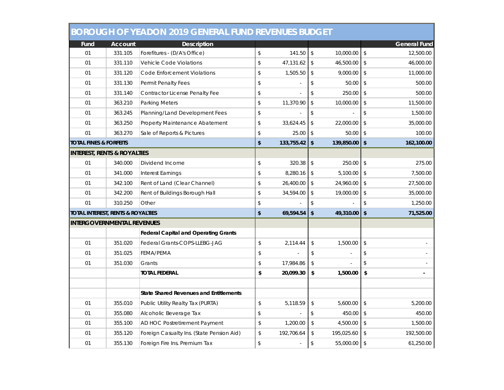|                                        |                | <b>BOROUGH OF YEADON 2019 GENERAL FUND REVENUES BUDGET</b> |                |            |                |            |                                  |
|----------------------------------------|----------------|------------------------------------------------------------|----------------|------------|----------------|------------|----------------------------------|
| Fund                                   | <b>Account</b> | <b>Description</b>                                         |                |            |                |            | <b>General Fund</b>              |
| 01                                     | 331.105        | Forefitures - (D/A's Office)                               | \$             | 141.50     | $$\mathbb{S}$$ | 10,000.00  | $\mathcal{S}$<br>12,500.00       |
| 01                                     | 331.110        | <b>Vehicle Code Violations</b>                             | $$\mathbb{S}$$ | 47,131.62  | $\sqrt[6]{2}$  | 46,500.00  | $\mathcal{L}$<br>46,000.00       |
| 01                                     | 331.120        | <b>Code Enforcement Violations</b>                         | \$             | 1,505.50   | \$             | 9,000.00   | \$<br>11,000.00                  |
| 01                                     | 331.130        | <b>Permit Penalty Fees</b>                                 | \$             |            | $\updownarrow$ | 50.00      | \$<br>500.00                     |
| 01                                     | 331.140        | <b>Contractor License Penalty Fee</b>                      | $\updownarrow$ |            | $\updownarrow$ | 250.00     | \$<br>500.00                     |
| 01                                     | 363.210        | <b>Parking Meters</b>                                      | \$             | 11,370.90  | \$             | 10,000.00  | \$<br>11,500.00                  |
| 01                                     | 363.245        | Planning/Land Development Fees                             | $$\mathbb{S}$$ |            | $\,$           |            | $$\mathbb{S}$$<br>1,500.00       |
| 01                                     | 363.250        | Property Maintenance Abatement                             | $$\mathbb{S}$$ | 33,624.45  | $\,$           | 22,000.00  | $\mathsf{\$}$<br>35,000.00       |
| 01                                     | 363.270        | Sale of Reports & Pictures                                 | $$\mathbb{S}$$ | 25.00      | \$             | 50.00      | $\mathcal{S}$<br>100.00          |
| <b>TOTAL FINES &amp; FORFEITS</b>      |                |                                                            | \$             | 133,755.42 | $\sqrt[6]{2}$  | 139,850.00 | $\mathbf{\hat{S}}$<br>162,100.00 |
| <b>INTEREST, RENTS &amp; ROYALTIES</b> |                |                                                            |                |            |                |            |                                  |
| 01                                     | 340.000        | Dividend Income                                            | \$             | 320.38     | \$             | 250.00     | \$<br>275.00                     |
| 01                                     | 341.000        | Interest Earnings                                          | $\mathsf{\$}$  | 8,280.16   | $\sqrt[6]{2}$  | 5,100.00   | $\mathcal{S}$<br>7,500.00        |
| 01                                     | 342.100        | Rent of Land (Clear Channel)                               | $\mathsf{\$}$  | 26,400.00  | $\sqrt[6]{2}$  | 24,960.00  | $\mathcal{L}$<br>27,500.00       |
| 01                                     | 342.200        | Rent of Buildings Borough Hall                             | \$             | 34,594.00  | \$             | 19,000.00  | \$<br>35,000.00                  |
| 01                                     | 310.250        | Other                                                      | \$             |            | \$             |            | $\mathsf{\$}$<br>1,250.00        |
| TOTAL INTEREST, RENTS & ROYALTIES      |                |                                                            | \$             | 69,594.54  | \$             | 49,310.00  | $\mathbf{\hat{S}}$<br>71,525.00  |
| <b>INTERGOVERNMENTAL REVENUES</b>      |                |                                                            |                |            |                |            |                                  |
|                                        |                | <b>Federal Capital and Operating Grants</b>                |                |            |                |            |                                  |
| 01                                     | 351.020        | Federal Grants-COPS-LLEBG-JAG                              | \$             | 2,114.44   | \$             | 1,500.00   | \$                               |
| 01                                     | 351.025        | <b>FEMA/PEMA</b>                                           | \$             |            | \$             |            | \$                               |
| 01                                     | 351.030        | Grants                                                     | \$             | 17,984.86  | \$             |            | \$                               |
|                                        |                | <b>TOTAL FEDERAL</b>                                       | \$             | 20,099.30  | \$             | 1,500.00   | \$                               |
|                                        |                |                                                            |                |            |                |            |                                  |
|                                        |                | <b>State Shared Revenues and Entitlements</b>              |                |            |                |            |                                  |
| 01                                     | 355.010        | Public Utility Realty Tax (PURTA)                          | \$             | 5,118.59   | \$             | 5,600.00   | $\mathsf{\$}$<br>5,200.00        |
| 01                                     | 355.080        | Alcoholic Beverage Tax                                     | $\mathsf{\$}$  |            | $\updownarrow$ | 450.00     | $\mathcal{L}$<br>450.00          |
| 01                                     | 355.100        | AD HOC Postretirement Payment                              | \$             | 1,200.00   | \$             | 4,500.00   | \$<br>1,500.00                   |
| 01                                     | 355.120        | Foreign Casualty Ins. (State Pension Aid)                  | \$             | 192,706.64 | \$             | 195,025.60 | \$<br>192,500.00                 |
| 01                                     | 355.130        | Foreign Fire Ins. Premium Tax                              | $$\mathbb{S}$$ |            | $\updownarrow$ | 55,000.00  | $\mathsf{\$}$<br>61,250.00       |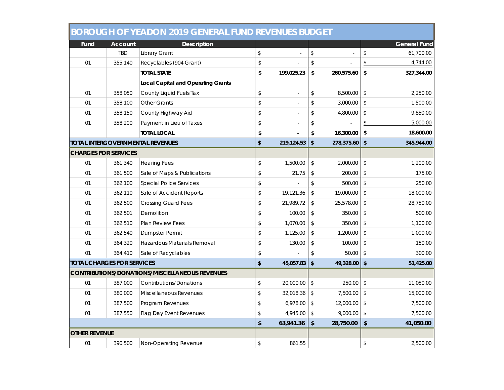|                                   | <b>BOROUGH OF YEADON 2019 GENERAL FUND REVENUES BUDGET</b> |                                                       |                |                |                        |                |                         |                     |  |  |  |
|-----------------------------------|------------------------------------------------------------|-------------------------------------------------------|----------------|----------------|------------------------|----------------|-------------------------|---------------------|--|--|--|
| Fund                              | <b>Account</b>                                             | <b>Description</b>                                    |                |                |                        |                |                         | <b>General Fund</b> |  |  |  |
|                                   | <b>TBD</b>                                                 | Library Grant                                         | \$             | $\overline{a}$ | $\,$                   | $\overline{a}$ | $\sqrt[6]{\frac{1}{2}}$ | 61,700.00           |  |  |  |
| 01                                | 355.140                                                    | Recyclables (904 Grant)                               | $\sqrt{2}$     |                | $\mathsf{\$}$          |                | \$                      | 4,744.00            |  |  |  |
|                                   |                                                            | <b>TOTAL STATE</b>                                    | \$             | 199,025.23     | \$                     | 260,575.60     | \$                      | 327,344.00          |  |  |  |
|                                   |                                                            | <b>Local Capital and Operating Grants</b>             |                |                |                        |                |                         |                     |  |  |  |
| 01                                | 358.050                                                    | County Liquid Fuels Tax                               | $\mathsf{\$}$  |                | \$                     | 8,500.00       | $\mathsf{\$}$           | 2,250.00            |  |  |  |
| 01                                | 358.100                                                    | <b>Other Grants</b>                                   | $\mathsf{\$}$  |                | \$                     | 3,000.00       | \$                      | 1,500.00            |  |  |  |
| 01                                | 358.150                                                    | County Highway Aid                                    | \$             |                | \$                     | 4,800.00       | \$                      | 9,850.00            |  |  |  |
| 01                                | 358.200                                                    | Payment in Lieu of Taxes                              | $\mathsf{\$}$  |                | \$                     |                | \$                      | 5,000.00            |  |  |  |
|                                   |                                                            | <b>TOTAL LOCAL</b>                                    | \$             |                | \$                     | 16,300.00      | \$                      | 18,600.00           |  |  |  |
|                                   |                                                            | TOTAL INTERGOVERNMENTAL REVENUES                      | \$             | 219,124.53     | \$                     | 278,375.60     | $\mathbf{\hat{S}}$      | 345,944.00          |  |  |  |
| <b>CHARGES FOR SERVICES</b>       |                                                            |                                                       |                |                |                        |                |                         |                     |  |  |  |
| 01                                | 361.340                                                    | <b>Hearing Fees</b>                                   | \$             | 1,500.00       | $\mathsf{\$}$          | 2,000.00       | \$                      | 1,200.00            |  |  |  |
| 01                                | 361.500                                                    | Sale of Maps & Publications                           | $\mathsf{\$}$  | 21.75          | $\mathsf{\$}$          | 200.00         | $\mathsf{\$}$           | 175.00              |  |  |  |
| 01                                | 362.100                                                    | <b>Special Police Services</b>                        | $\mathsf{\$}$  |                | $\mathsf{\$}$          | 500.00         | $\mathcal{S}$           | 250.00              |  |  |  |
| 01                                | 362.110                                                    | Sale of Accident Reports                              | \$             | 19,121.36      | \$                     | 19,000.00      | $\mathcal{L}$           | 18,000.00           |  |  |  |
| 01                                | 362.500                                                    | <b>Crossing Guard Fees</b>                            | $\sqrt[6]{2}$  | 21,989.72      | $$\mathbb{S}$$         | 25,578.00      | \$                      | 28,750.00           |  |  |  |
| 01                                | 362.501                                                    | Demolition                                            | $\sqrt{2}$     | 100.00         | $\updownarrow$         | 350.00         | \$                      | 500.00              |  |  |  |
| 01                                | 362.510                                                    | Plan Review Fees                                      | \$             | 1,070.00       | \$                     | 350.00         | $\sqrt{2}$              | 1,100.00            |  |  |  |
| 01                                | 362.540                                                    | Dumpster Permit                                       | \$             | 1,125.00       | $\,$                   | 1,200.00       | $\sqrt[6]{\frac{1}{2}}$ | 1,000.00            |  |  |  |
| 01                                | 364.320                                                    | Hazardous Materials Removal                           | $\mathsf{\$}$  | 130.00         | $\mathsf{\$}$          | 100.00         | $\mathsf{\$}$           | 150.00              |  |  |  |
| 01                                | 364.410                                                    | Sale of Recyclables                                   | $\mathsf{\$}$  |                | $\mathsf{\$}$          | 50.00          | $\mathcal{S}$           | 300.00              |  |  |  |
| <b>TOTAL CHARGES FOR SERVICES</b> |                                                            |                                                       | \$             | 45,057.83      | $\boldsymbol{\hat{z}}$ | 49,328.00      | \$                      | 51,425.00           |  |  |  |
|                                   |                                                            | <b>CONTRIBUTIONS/DONATIONS/MISCELLANEOUS REVENUES</b> |                |                |                        |                |                         |                     |  |  |  |
| 01                                | 387.000                                                    | <b>Contributions/Donations</b>                        | \$             | 20,000.00      | $$\mathbb{S}$$         | 250.00         | $\mathcal{S}$           | 11,050.00           |  |  |  |
| 01                                | 380.000                                                    | Miscellaneous Revenues                                | \$             | 32,018.36      | $$\mathbb{S}$$         | 7,500.00       | $\mathcal{L}$           | 15,000.00           |  |  |  |
| 01                                | 387.500                                                    | Program Revenues                                      | $\updownarrow$ | 6,978.00       | $\,$                   | 12,000.00      | $\sqrt{2}$              | 7,500.00            |  |  |  |
| 01                                | 387.550                                                    | Flag Day Event Revenues                               | \$             | 4,945.00       | $\sqrt{ }$             | 9,000.00       | $\mathcal{S}$           | 7,500.00            |  |  |  |
|                                   |                                                            |                                                       | \$             | 63,941.36      | $\pmb{\$}$             | 28,750.00      | \$                      | 41,050.00           |  |  |  |
| <b>OTHER REVENUE</b>              |                                                            |                                                       |                |                |                        |                |                         |                     |  |  |  |
| 01                                | 390.500                                                    | Non-Operating Revenue                                 | \$             | 861.55         |                        |                | \$                      | 2,500.00            |  |  |  |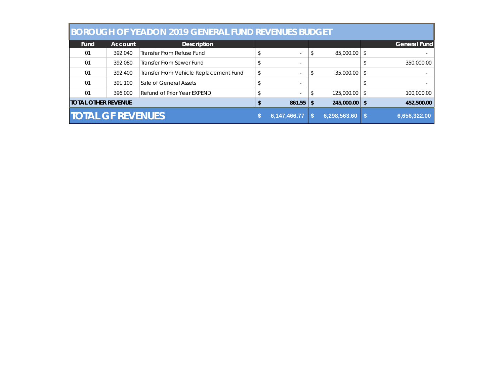|                             | <b>BOROUGH OF YEADON 2019 GENERAL FUND REVENUES BUDGET</b> |                                        |   |                          |    |                   |                   |                     |  |  |  |  |
|-----------------------------|------------------------------------------------------------|----------------------------------------|---|--------------------------|----|-------------------|-------------------|---------------------|--|--|--|--|
| <b>Fund</b>                 | <b>Account</b>                                             | <b>Description</b>                     |   |                          |    |                   |                   | <b>General Fund</b> |  |  |  |  |
| 01                          | 392.040                                                    | Transfer From Refuse Fund              |   | $\sim$                   |    | 85,000.00         | $\overline{1}$ s  |                     |  |  |  |  |
| 01                          | 392.080                                                    | Transfer From Sewer Fund               |   | ٠                        |    |                   |                   | 350,000.00          |  |  |  |  |
| 01                          | 392.400                                                    | Transfer From Vehicle Replacement Fund |   | $\sim$                   |    | 35,000.00         | $\overline{1}$ s  |                     |  |  |  |  |
| 01                          | 391.100                                                    | Sale of General Assets                 |   | $\overline{\phantom{a}}$ |    |                   |                   |                     |  |  |  |  |
| 01                          | 396,000                                                    | Refund of Prior Year EXPEND            |   | $\sim$                   | \$ | 125,000.00        | $\overline{1}$ \$ | 100,000.00          |  |  |  |  |
| <b>ITOTAL OTHER REVENUE</b> |                                                            |                                        |   | $861.55$ $\frac{1}{3}$   |    | $245,000.00$   \$ |                   | 452,500.00          |  |  |  |  |
| <b>TOTAL GF REVENUES</b>    |                                                            |                                        | S | 6,147,466.77             |    | 6,298,563.60      |                   | 6,656,322.00        |  |  |  |  |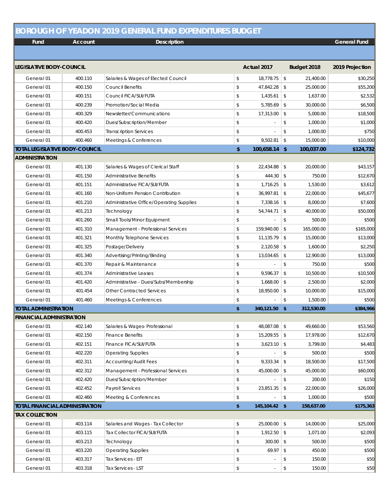### **BOROUGH OF YEADON 2019 GENERAL FUND EXPENDITURES BUDGET**

| Fund                                  | Account | Description                              |                      |            |             | General Fund    |
|---------------------------------------|---------|------------------------------------------|----------------------|------------|-------------|-----------------|
|                                       |         |                                          |                      |            |             |                 |
| LEGISLATIVE BODY-COUNCIL              |         |                                          | Actual 2017          |            | Budget 2018 | 2019 Projection |
| General 01                            | 400.110 | Salaries & Wages of Elected Council      | \$<br>18,778.75      | \$         | 21,400.00   | \$30,250        |
| General 01                            | 400.150 | <b>Council Benefits</b>                  | \$<br>47,842.28      | \$         | 25,000.00   | \$55,200        |
| General 01                            | 400.151 | Council FICA/SUI/FUTA                    | \$<br>1,435.61       | \$         | 1,637.00    | \$2,532         |
| General 01                            | 400.239 | Promotion/Social Media                   | \$<br>5,785.69       | \$         | 30,000.00   | \$6,500         |
| General 01                            | 400.329 | Newsletter/Communications                | \$<br>17,313.00      | \$         | 5,000.00    | \$18,500        |
| General 01                            | 400.420 | Dues/Subscription/Member                 | \$                   | \$         | 1,000.00    | \$1,000         |
| General 01                            | 400.453 | <b>Transcription Services</b>            | \$                   | \$         | 1,000.00    | \$750           |
| General 01                            | 400.460 | Meetings & Conferences                   | \$<br>9,502.81       | \$         | 15,000.00   | \$10,000        |
| <b>TOTAL LEGISLATIVE BODY-COUNCIL</b> |         |                                          | \$<br>100,658.14 \$  |            | 100,037.00  | \$124,732       |
| <b>ADMINISTRATION</b>                 |         |                                          |                      |            |             |                 |
| General 01                            | 401.130 | Salaries & Wages of Clerical Staff       | \$<br>22,434.88      | \$         | 20,000.00   | \$43,157        |
| General 01                            | 401.150 | <b>Administrative Benefits</b>           | \$<br>444.30         | \$         | 750.00      | \$12,670        |
| General 01                            | 401.151 | Administrative FICA/SUI/FUTA             | \$<br>1,716.25       | \$         | 1,530.00    | \$3,612         |
| General 01                            | 401.160 | Non-Uniform Pension Contribution         | \$<br>36,997.81      | \$         | 22,000.00   | \$45,677        |
| General 01                            | 401.210 | Administrative Office/Operating Supplies | \$<br>7,338.16       | \$         | 8,000.00    | \$7,600         |
| General 01                            | 401.213 | Technology                               | \$<br>54,744.71      | \$         | 40,000.00   | \$50,000        |
| General 01                            | 401.260 | Small Tools/Minor Equipment              | \$                   | \$         | 500.00      | \$500           |
| General 01                            | 401.310 | Management - Professional Services       | \$<br>159,940.00     | \$         | 165,000.00  | \$165,000       |
| General 01                            | 401.321 | Monthly Telephone Services               | \$<br>11,135.79      | \$         | 15,000.00   | \$13,000        |
| General 01                            | 401.325 | Postage/Delivery                         | \$<br>2,120.58       | \$         | 1,600.00    | \$2,250         |
| General 01                            | 401.340 | Advertising/Printing/Binding             | \$<br>13,034.65      | \$         | 12,900.00   | \$13,000        |
| General 01                            | 401.370 | Repair & Maintenance                     | \$                   | \$         | 750.00      | \$500           |
| General 01                            | 401.374 | Administrative Leases                    | \$<br>9,596.37       | \$         | 10,500.00   | \$10,500        |
| General 01                            | 401.420 | Administrative - Dues/Subs/Membership    | \$<br>1,668.00       | \$         | 2,500.00    | \$2,000         |
| General 01                            | 401.454 | <b>Other Contracted Services</b>         | \$<br>18,950.00      | \$         | 10,000.00   | \$15,000        |
| General 01                            | 401.460 | Meetings & Conferences                   | \$                   | \$         | 1,500.00    | \$500           |
| total administration                  |         |                                          | \$<br>340,121.50 \$  |            | 312,530.00  | \$384,966       |
| FINANCIAL ADMINISTRATION              |         |                                          |                      |            |             |                 |
| General 01                            | 402.140 | Salaries & Wages- Professional           | \$<br>48,087.08      | S,         | 49,660.00   | \$53,560        |
| General 01                            | 402.150 | <b>Finance Benefits</b>                  | \$<br>15,209.55      | \$         | 17,978.00   | \$12,670        |
| General 01                            | 402.151 | Finance FICA/SUI/FUTA                    | \$<br>3,623.10       | \$         | 3,799.00    | \$4,483         |
| General 01                            | 402.220 | <b>Operating Supplies</b>                | \$                   | \$         | 500.00      | \$500           |
| General 01                            | 402.311 | <b>Accounting/Audit Fees</b>             | \$<br>9,333.34       | \$         | 18,500.00   | \$17,500        |
| General 01                            | 402.312 | Management - Professional Services       | \$<br>45,000.00      | \$         | 45,000.00   | \$60,000        |
| General 01                            | 402.420 | Dues/Subscription/Member                 | \$                   | \$         | 200.00      | \$150           |
| General 01                            | 402.452 | Payroll Services                         | \$<br>23,851.35      | \$         | 22,000.00   | \$26,000        |
| General 01                            | 402.460 | Meeting & Conferences                    | \$                   | \$         | 1,000.00    | \$500           |
| TOTAL FINANCIAL ADMINISTRATION        |         |                                          | \$<br>145,104.42 \$  |            | 158,637.00  | \$175,363       |
| TAX COLLECTION                        |         |                                          |                      |            |             |                 |
| General 01                            | 403.114 | Salaries and Wages - Tax Collector       | \$<br>$25,000.00$ \$ |            | 14,000.00   | \$25,000        |
| General 01                            | 403.115 | Tax Collector FICA/SUI/FUTA              | \$<br>1,912.50       | $\sqrt{2}$ | 1,071.00    | \$2,093         |
| General 01                            | 403.213 | Technology                               | \$<br>300.00         | \$         | 500.00      | \$500           |
| General 01                            | 403.220 | <b>Operating Supplies</b>                | \$<br>69.97          | \$         | 450.00      | \$500           |
| General 01                            | 403.317 | Tax Services - EIT                       | \$                   | \$         | 150.00      | \$50            |
| General 01                            | 403.318 | Tax Services - LST                       | \$                   | \$         | 150.00      | \$50            |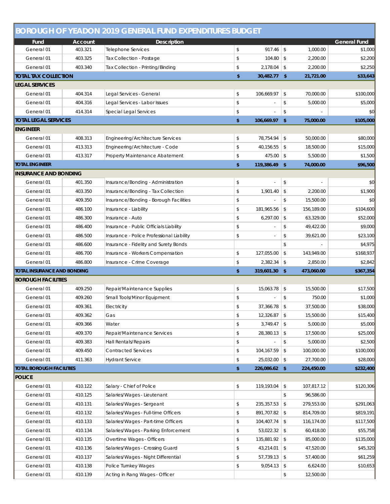|                                    |                | <b>BOROUGH OF YEADON 2019 GENERAL FUND EXPENDITURES BUDGET</b> |                        |               |            |                     |
|------------------------------------|----------------|----------------------------------------------------------------|------------------------|---------------|------------|---------------------|
| Fund                               | <b>Account</b> | <b>Description</b>                                             |                        |               |            | <b>General Fund</b> |
| General 01                         | 403.321        | <b>Telephone Services</b>                                      | \$<br>917.46           | $\sqrt[6]{2}$ | 1,000.00   | \$1,000             |
| General 01                         | 403.325        | Tax Collection - Postage                                       | \$<br>104.80           | $\mathbb{S}$  | 2,200.00   | \$2,200             |
| General 01                         | 403.340        | Tax Collection - Printing/Binding                              | \$<br>2,178.04         | \$            | 2,200.00   | \$2,250             |
| <b>TOTAL TAX COLLECTION</b>        |                |                                                                | \$<br>$30,482.77$ \$   |               | 21,721.00  | \$33,643            |
| <b>LEGAL SERVICES</b>              |                |                                                                |                        |               |            |                     |
| General 01                         | 404.314        | Legal Services - General                                       | \$<br>106,669.97       | \$            | 70,000.00  | \$100,000           |
| General 01                         | 404.316        | Legal Services - Labor Issues                                  | \$                     | \$            | 5,000.00   | \$5,000             |
| General 01                         | 414.314        | Special Legal Services                                         | \$                     | \$            |            | \$0                 |
| <b>TOTAL LEGAL SERVICES</b>        |                |                                                                | \$<br>106,669.97       | - \$          | 75,000.00  | \$105,000           |
| <b>ENGINEER</b>                    |                |                                                                |                        |               |            |                     |
| General 01                         | 408.313        | Engineering/Architecture Services                              | \$<br>78,754.94        | \$            | 50,000.00  | \$80,000            |
| General 01                         | 413.313        | Engineering/Architecture - Code                                | \$<br>40,156.55        | \$            | 18,500.00  | \$15,000            |
| General 01                         | 413.317        | Property Maintenance Abatement                                 | \$<br>475.00           | \$            | 5,500.00   | \$1,500             |
| <b>TOTAL ENGINEER</b>              |                |                                                                | \$<br>119,386.49 \$    |               | 74,000.00  | \$96,500            |
| <b>INSURANCE AND BONDING</b>       |                |                                                                |                        |               |            |                     |
| General 01                         | 401.350        | Insurance/Bonding - Administration                             | \$                     | \$            |            | \$0                 |
| General 01                         | 403.350        | Insurance/Bonding - Tax Collection                             | \$<br>1,901.40         | \$            | 2,200.00   | \$1,900             |
| General 01                         | 409.350        | Insurance/Bonding - Borough Facilities                         | \$                     | \$            | 15,500.00  | \$0                 |
| General 01                         | 486.100        | Insurance - Liability                                          | \$<br>181,965.56       | \$            | 156,189.00 | \$104,600           |
| General 01                         | 486.300        | Insurance - Auto                                               | \$<br>6,297.00         | \$            | 63,329.00  | \$52,000            |
| General 01                         | 486.400        | Insurance - Public Officials Liability                         | \$                     | \$            | 49,422.00  | \$9,000             |
| General 01                         | 486.500        | Insurance - Police Professional Liability                      | \$                     | \$            | 39,621.00  | \$23,100            |
| General 01                         | 486.600        | Insurance - Fidelity and Surety Bonds                          |                        | \$            |            | \$4,975             |
| General 01                         | 486.700        | Insurance - Workers Compensation                               | \$<br>127,055.00       | \$            | 143,949.00 | \$168,937           |
| General 01                         | 486.800        | Insurance - Crime Coverage                                     | \$<br>2,382.34         | \$            | 2,850.00   | \$2,842             |
| <b>TOTAL INSURANCE AND BONDING</b> |                |                                                                | \$<br>319,601.30 \$    |               | 473,060.00 | \$367,354           |
| <b>BOROUGH FACILITIES</b>          |                |                                                                |                        |               |            |                     |
| General 01                         | 409.250        | Repair/Maintenance Supplies                                    | \$<br>15,063.78        | \$            | 15,500.00  | \$17,500            |
| General 01                         | 409.260        | Small Tools/Minor Equipment                                    | \$                     | \$            | 750.00     | \$1,000             |
| General 01                         | 409.361        |                                                                | \$<br>$37,366.78$ \$   |               | 37,500.00  | \$38,000            |
|                                    |                | Electricity                                                    | \$<br>12,326.87        |               |            |                     |
| General 01                         | 409.362        | Gas                                                            |                        | \$            | 15,500.00  | \$15,400            |
| General 01                         | 409.366        | Water                                                          | \$<br>3,749.47         | \$            | 5,000.00   | \$5,000             |
| General 01                         | 409.370        | Repair/Maintenance Services                                    | \$<br>28,380.13        | \$            | 17,500.00  | \$25,000            |
| General 01                         | 409.383        | <b>Hall Rentals/Repairs</b>                                    | \$                     | \$            | 5,000.00   | \$2,500             |
| General 01                         | 409.450        | Contracted Services                                            | \$<br>104,167.59       | \$            | 100,000.00 | \$100,000           |
| General 01                         | 411.363        | <b>Hydrant Service</b>                                         | \$<br>$25,032.00$ \ \$ |               | 27,700.00  | \$28,000            |
| <b>TOTAL BOROUGH FACILITIES</b>    |                |                                                                | \$<br>226,086.62 \$    |               | 224,450.00 | \$232,400           |
| <b>POLICE</b>                      |                |                                                                |                        |               |            |                     |
| General 01                         | 410.122        | Salary - Chief of Police                                       | \$<br>119,193.04       | \$            | 107,817.12 | \$120,306           |
| General 01                         | 410.125        | Salaries/Wages - Lieutenant                                    |                        | \$            | 96,586.00  |                     |
| General 01                         | 410.131        | Salaries/Wages - Sergeant                                      | \$<br>235,357.53       | \$            | 279,553.00 | \$291,063           |
| General 01                         | 410.132        | Salaries/Wages - Full-time Officers                            | \$<br>891,707.82       | \$            | 814,709.00 | \$819,191           |
| General 01                         | 410.133        | Salaries/Wages - Part-time Officers                            | \$<br>104,407.74       | \$            | 116,174.00 | \$117,500           |
| General 01                         | 410.134        | Salaries/Wages - Parking Enforcement                           | \$<br>53,022.32        | \$            | 60,418.00  | \$55,758            |
| General 01                         | 410.135        | Overtime Wages - Officers                                      | \$<br>135,881.92       | \$            | 85,000.00  | \$135,000           |
| General 01                         | 410.136        | Salaries/Wages - Crossing Guard                                | \$<br>43,214.01        | \$            | 47,520.00  | \$45,320            |
| General 01                         | 410.137        | Salaries/Wages - Night Differential                            | \$<br>57,739.13        | \$            | 57,400.00  | \$61,259            |
| General 01                         | 410.138        | Police Turnkey Wages                                           | \$<br>9,054.13         | $\,$          | 6,624.00   | \$10,653            |
| General 01                         | 410.139        | Acting in Rang Wages - Officer                                 |                        | \$            | 12,500.00  |                     |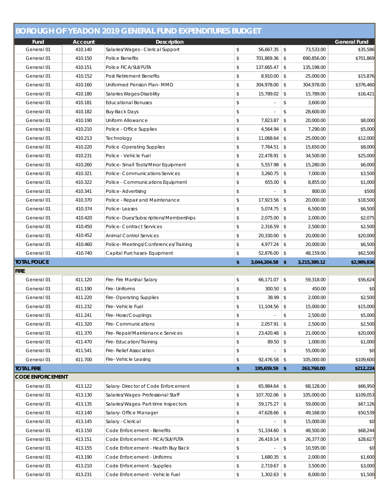| Fund<br><b>General Fund</b><br>Account<br><b>Description</b><br>\$<br>General 01<br>56,667.35<br>\$<br>410.140<br>Salaries/Wages - Clerical Support<br>73,533.00<br>\$<br>General 01<br>410.150<br><b>Police Benefits</b><br>701,869.36<br>\$<br>690,856.00<br>General 01<br>Police FICA/SUI/FUTA<br>\$<br>137,665.47<br>\$<br>135,198.00<br>410.151<br>\$<br>8,910.00<br>\$<br>General 01<br>410.152<br>Post Retirement Benefits<br>25,000.00<br>\$<br>General 01<br>Uniformed Pension Plan-MMO<br>304,978.00<br>\$<br>304,978.00<br>410.160<br>\$<br>General 01<br>410.180<br>Salaries Wages-Disability<br>15,789.02<br>\$<br>15,789.00<br>\$16.421<br>\$<br>\$<br>General 01<br>410.181<br><b>Educational Bonuses</b><br>3,600.00<br>\$<br>General 01<br>\$<br>28,600.00<br>410.182<br>Buy-Back Days<br>\$<br>General 01<br>410.190<br>Uniform Allowance<br>7,823.87<br>\$<br>20,000.00<br>\$<br>General 01<br>Police - Office Supplies<br>4,564.94<br>\$<br>7,290.00<br>410.210<br>\$<br>General 01<br>11,068.64<br>\$<br>410.213<br>Technology<br>25,000.00<br>\$<br>General 01<br>410.220<br>7,764.51<br>\$<br>15,650.00<br>Police - Operating Supplies<br>\$<br>General 01<br>410.231<br>Police - Vehicle Fuel<br>22,478.91<br>\$<br>34,500.00<br>\$<br>General 01<br>5,557.98<br>\$<br>15,280.00<br>410.260<br>Police- Small Tools/Minor Equipment<br>General 01<br>Police- Communications Services<br>\$<br>3,260.75<br>\$<br>7,000.00<br>410.321<br>General 01<br>\$<br>655.00<br>\$<br>410.322<br>Police - Communications Equipment<br>8,855.00<br>\$<br>General 01<br>\$<br>410.341<br>Police-Advertising<br>800.00<br>\$<br>General 01<br>\$<br>20,000.00<br>410.370<br>Police - Repair and Maintenance<br>17,923.56<br>General 01<br>410.374<br>\$<br>5,074.75<br>\$<br>Police-Leases<br>6,500.00<br>\$<br>General 01<br>410.420<br>2,075.00<br>\$<br>Police-Dues/Subscriptions/Memberships<br>2,000.00<br>\$<br>General 01<br>2,316.59<br>\$<br>2,500.00<br>410.450<br><b>Police-Contract Services</b><br>General 01<br><b>Animal Control Services</b><br>\$<br>20,330.00<br>\$<br>410.452<br>20,000.00<br>\$<br>General 01<br>4,977.24<br>\$<br>410.460<br>Police-Meetings/Conferences/Training<br>20,000.00<br>\$<br>General 01<br>52,876.00<br>\$<br>48,159.00<br>410.740<br>Capital Purchases- Equipment<br>\$<br>3,044,204.58 \$<br>3,215,389.12<br>\$<br>General 01<br>411.120<br>66,171.07<br>\$<br>59.318.00<br>Fire- Fire Marshal Salary<br>General 01<br>411.190<br>\$<br>300.50<br>\$<br>450.00<br>Fire-Uniforms<br>\$<br>38.99<br>\$<br>General 01<br>411.220<br>Fire- Operating Supplies<br>2,000.00<br>\$<br>11,104.56<br>$\mathbb{S}$<br>General 01<br>411.232<br>Fire- Vehicle Fuel<br>15,000.00<br>General 01<br>411.241<br>Fire-Hose/Couplings<br>\$<br>\$<br>2,500.00<br>\$<br>General 01<br>2,057.91<br>\$<br>2,500.00<br>411.320<br>Fire- Communications<br>\$<br>General 01<br>411.370<br>Fire-Repair/Maintenance Services<br>23,420.48<br>\$<br>21,000.00<br>\$<br>General 01<br>411.470<br>Fire-Education/Training<br>89.50<br>\$<br>1,000.00<br>\$<br>General 01<br>Fire-Relief Association<br>\$<br>55,000.00<br>411.541<br>\$<br>General 01<br>92,476.58<br>\$<br>105,000.00<br>411.700<br>Fire- Vehicle Leasing<br>\$<br>195,659.59 \$<br>263,768.00<br><b>CODE ENFORCEMENT</b><br>\$<br>General 01<br>65,984.64<br>\$<br>68,128.00<br>413.122<br>Salary-Director of Code Enforcement<br>\$<br>General 01<br>413.130<br>107,702.06<br>\$<br>105,000.00<br>Salaries/Wages-Professional Staff<br>\$<br>General 01<br>413.135<br>59,175.27<br>\$<br>59,000.00<br>Salaries/Wages-Part-time Inspectors<br>\$<br>General 01<br>413.140<br>Salary- Office Manager<br>47,628.66<br>\$<br>49,168.00<br>\$<br>General 01<br>413.145<br>Salary - Clerical<br>\$<br>15,000.00<br>General 01<br>Code Enforcement - Benefits<br>\$<br>51,334.60<br>\$<br>48,500.00<br>413.150<br>\$<br>General 01<br>413.151<br>26,419.14<br>\$<br>Code Enforcement - FICA/SUI/FUTA<br>26,377.00<br>\$<br>General 01<br>413.155<br>\$<br>10,595.00<br>Code Enforcement - Health Buy Back<br>General 01<br>Code Enforcement - Uniforms<br>\$<br>\$<br>413.190<br>1,680.35<br>2,000.00<br>\$<br>General 01<br>413.210<br>2,719.67<br>\$<br>3,500.00<br>Code Enforcement - Supplies<br>\$<br>General 01<br>413.231<br>$1,302.63$ \$<br>8,000.00<br>Code Enforcement - Vehicle Fuel |                     | <b>BOROUGH OF YEADON 2019 GENERAL FUND EXPENDITURES BUDGET</b> |  |  |          |
|----------------------------------------------------------------------------------------------------------------------------------------------------------------------------------------------------------------------------------------------------------------------------------------------------------------------------------------------------------------------------------------------------------------------------------------------------------------------------------------------------------------------------------------------------------------------------------------------------------------------------------------------------------------------------------------------------------------------------------------------------------------------------------------------------------------------------------------------------------------------------------------------------------------------------------------------------------------------------------------------------------------------------------------------------------------------------------------------------------------------------------------------------------------------------------------------------------------------------------------------------------------------------------------------------------------------------------------------------------------------------------------------------------------------------------------------------------------------------------------------------------------------------------------------------------------------------------------------------------------------------------------------------------------------------------------------------------------------------------------------------------------------------------------------------------------------------------------------------------------------------------------------------------------------------------------------------------------------------------------------------------------------------------------------------------------------------------------------------------------------------------------------------------------------------------------------------------------------------------------------------------------------------------------------------------------------------------------------------------------------------------------------------------------------------------------------------------------------------------------------------------------------------------------------------------------------------------------------------------------------------------------------------------------------------------------------------------------------------------------------------------------------------------------------------------------------------------------------------------------------------------------------------------------------------------------------------------------------------------------------------------------------------------------------------------------------------------------------------------------------------------------------------------------------------------------------------------------------------------------------------------------------------------------------------------------------------------------------------------------------------------------------------------------------------------------------------------------------------------------------------------------------------------------------------------------------------------------------------------------------------------------------------------------------------------------------------------------------------------------------------------------------------------------------------------------------------------------------------------------------------------------------------------------------------------------------------------------------------------------------------------------------------------------------------------------------------------------------------------------------------------------------------------------------------------------------------------------------------------------------------------------------------------------------------------------------------------------------------------------------------------------------|---------------------|----------------------------------------------------------------|--|--|----------|
| \$701.869                                                                                                                                                                                                                                                                                                                                                                                                                                                                                                                                                                                                                                                                                                                                                                                                                                                                                                                                                                                                                                                                                                                                                                                                                                                                                                                                                                                                                                                                                                                                                                                                                                                                                                                                                                                                                                                                                                                                                                                                                                                                                                                                                                                                                                                                                                                                                                                                                                                                                                                                                                                                                                                                                                                                                                                                                                                                                                                                                                                                                                                                                                                                                                                                                                                                                                                                                                                                                                                                                                                                                                                                                                                                                                                                                                                                                                                                                                                                                                                                                                                                                                                                                                                                                                                                                                                                                                                    |                     |                                                                |  |  |          |
|                                                                                                                                                                                                                                                                                                                                                                                                                                                                                                                                                                                                                                                                                                                                                                                                                                                                                                                                                                                                                                                                                                                                                                                                                                                                                                                                                                                                                                                                                                                                                                                                                                                                                                                                                                                                                                                                                                                                                                                                                                                                                                                                                                                                                                                                                                                                                                                                                                                                                                                                                                                                                                                                                                                                                                                                                                                                                                                                                                                                                                                                                                                                                                                                                                                                                                                                                                                                                                                                                                                                                                                                                                                                                                                                                                                                                                                                                                                                                                                                                                                                                                                                                                                                                                                                                                                                                                                              |                     |                                                                |  |  | \$35,586 |
| \$15,876<br>\$376,460<br>\$8,000<br>\$5,000<br>\$12,000<br>\$8,000<br>\$25,000<br>\$6,000<br>\$3,500<br>\$1,000<br>\$500<br>\$18,500<br>\$6,500<br>\$2,075<br>\$2,500<br>\$20,000<br>\$6,500<br>\$62,500<br>\$2,989,836<br>\$56,624<br>\$0<br>\$2,500<br>\$15,000<br>\$5,000<br>\$2,500<br>\$20,000<br>\$1,000<br>\$0<br>\$109,600<br>\$212,224<br>\$66,950<br>\$109,053<br>\$67,126<br>\$50,539<br>\$0<br>\$68,244<br>\$28,627<br>\$0<br>\$1,600<br>\$3,000<br>\$1,500                                                                                                                                                                                                                                                                                                                                                                                                                                                                                                                                                                                                                                                                                                                                                                                                                                                                                                                                                                                                                                                                                                                                                                                                                                                                                                                                                                                                                                                                                                                                                                                                                                                                                                                                                                                                                                                                                                                                                                                                                                                                                                                                                                                                                                                                                                                                                                                                                                                                                                                                                                                                                                                                                                                                                                                                                                                                                                                                                                                                                                                                                                                                                                                                                                                                                                                                                                                                                                                                                                                                                                                                                                                                                                                                                                                                                                                                                                                      |                     |                                                                |  |  |          |
|                                                                                                                                                                                                                                                                                                                                                                                                                                                                                                                                                                                                                                                                                                                                                                                                                                                                                                                                                                                                                                                                                                                                                                                                                                                                                                                                                                                                                                                                                                                                                                                                                                                                                                                                                                                                                                                                                                                                                                                                                                                                                                                                                                                                                                                                                                                                                                                                                                                                                                                                                                                                                                                                                                                                                                                                                                                                                                                                                                                                                                                                                                                                                                                                                                                                                                                                                                                                                                                                                                                                                                                                                                                                                                                                                                                                                                                                                                                                                                                                                                                                                                                                                                                                                                                                                                                                                                                              |                     |                                                                |  |  |          |
|                                                                                                                                                                                                                                                                                                                                                                                                                                                                                                                                                                                                                                                                                                                                                                                                                                                                                                                                                                                                                                                                                                                                                                                                                                                                                                                                                                                                                                                                                                                                                                                                                                                                                                                                                                                                                                                                                                                                                                                                                                                                                                                                                                                                                                                                                                                                                                                                                                                                                                                                                                                                                                                                                                                                                                                                                                                                                                                                                                                                                                                                                                                                                                                                                                                                                                                                                                                                                                                                                                                                                                                                                                                                                                                                                                                                                                                                                                                                                                                                                                                                                                                                                                                                                                                                                                                                                                                              |                     |                                                                |  |  |          |
|                                                                                                                                                                                                                                                                                                                                                                                                                                                                                                                                                                                                                                                                                                                                                                                                                                                                                                                                                                                                                                                                                                                                                                                                                                                                                                                                                                                                                                                                                                                                                                                                                                                                                                                                                                                                                                                                                                                                                                                                                                                                                                                                                                                                                                                                                                                                                                                                                                                                                                                                                                                                                                                                                                                                                                                                                                                                                                                                                                                                                                                                                                                                                                                                                                                                                                                                                                                                                                                                                                                                                                                                                                                                                                                                                                                                                                                                                                                                                                                                                                                                                                                                                                                                                                                                                                                                                                                              |                     |                                                                |  |  |          |
|                                                                                                                                                                                                                                                                                                                                                                                                                                                                                                                                                                                                                                                                                                                                                                                                                                                                                                                                                                                                                                                                                                                                                                                                                                                                                                                                                                                                                                                                                                                                                                                                                                                                                                                                                                                                                                                                                                                                                                                                                                                                                                                                                                                                                                                                                                                                                                                                                                                                                                                                                                                                                                                                                                                                                                                                                                                                                                                                                                                                                                                                                                                                                                                                                                                                                                                                                                                                                                                                                                                                                                                                                                                                                                                                                                                                                                                                                                                                                                                                                                                                                                                                                                                                                                                                                                                                                                                              |                     |                                                                |  |  |          |
|                                                                                                                                                                                                                                                                                                                                                                                                                                                                                                                                                                                                                                                                                                                                                                                                                                                                                                                                                                                                                                                                                                                                                                                                                                                                                                                                                                                                                                                                                                                                                                                                                                                                                                                                                                                                                                                                                                                                                                                                                                                                                                                                                                                                                                                                                                                                                                                                                                                                                                                                                                                                                                                                                                                                                                                                                                                                                                                                                                                                                                                                                                                                                                                                                                                                                                                                                                                                                                                                                                                                                                                                                                                                                                                                                                                                                                                                                                                                                                                                                                                                                                                                                                                                                                                                                                                                                                                              |                     |                                                                |  |  |          |
|                                                                                                                                                                                                                                                                                                                                                                                                                                                                                                                                                                                                                                                                                                                                                                                                                                                                                                                                                                                                                                                                                                                                                                                                                                                                                                                                                                                                                                                                                                                                                                                                                                                                                                                                                                                                                                                                                                                                                                                                                                                                                                                                                                                                                                                                                                                                                                                                                                                                                                                                                                                                                                                                                                                                                                                                                                                                                                                                                                                                                                                                                                                                                                                                                                                                                                                                                                                                                                                                                                                                                                                                                                                                                                                                                                                                                                                                                                                                                                                                                                                                                                                                                                                                                                                                                                                                                                                              |                     |                                                                |  |  |          |
|                                                                                                                                                                                                                                                                                                                                                                                                                                                                                                                                                                                                                                                                                                                                                                                                                                                                                                                                                                                                                                                                                                                                                                                                                                                                                                                                                                                                                                                                                                                                                                                                                                                                                                                                                                                                                                                                                                                                                                                                                                                                                                                                                                                                                                                                                                                                                                                                                                                                                                                                                                                                                                                                                                                                                                                                                                                                                                                                                                                                                                                                                                                                                                                                                                                                                                                                                                                                                                                                                                                                                                                                                                                                                                                                                                                                                                                                                                                                                                                                                                                                                                                                                                                                                                                                                                                                                                                              |                     |                                                                |  |  |          |
|                                                                                                                                                                                                                                                                                                                                                                                                                                                                                                                                                                                                                                                                                                                                                                                                                                                                                                                                                                                                                                                                                                                                                                                                                                                                                                                                                                                                                                                                                                                                                                                                                                                                                                                                                                                                                                                                                                                                                                                                                                                                                                                                                                                                                                                                                                                                                                                                                                                                                                                                                                                                                                                                                                                                                                                                                                                                                                                                                                                                                                                                                                                                                                                                                                                                                                                                                                                                                                                                                                                                                                                                                                                                                                                                                                                                                                                                                                                                                                                                                                                                                                                                                                                                                                                                                                                                                                                              |                     |                                                                |  |  |          |
|                                                                                                                                                                                                                                                                                                                                                                                                                                                                                                                                                                                                                                                                                                                                                                                                                                                                                                                                                                                                                                                                                                                                                                                                                                                                                                                                                                                                                                                                                                                                                                                                                                                                                                                                                                                                                                                                                                                                                                                                                                                                                                                                                                                                                                                                                                                                                                                                                                                                                                                                                                                                                                                                                                                                                                                                                                                                                                                                                                                                                                                                                                                                                                                                                                                                                                                                                                                                                                                                                                                                                                                                                                                                                                                                                                                                                                                                                                                                                                                                                                                                                                                                                                                                                                                                                                                                                                                              |                     |                                                                |  |  |          |
|                                                                                                                                                                                                                                                                                                                                                                                                                                                                                                                                                                                                                                                                                                                                                                                                                                                                                                                                                                                                                                                                                                                                                                                                                                                                                                                                                                                                                                                                                                                                                                                                                                                                                                                                                                                                                                                                                                                                                                                                                                                                                                                                                                                                                                                                                                                                                                                                                                                                                                                                                                                                                                                                                                                                                                                                                                                                                                                                                                                                                                                                                                                                                                                                                                                                                                                                                                                                                                                                                                                                                                                                                                                                                                                                                                                                                                                                                                                                                                                                                                                                                                                                                                                                                                                                                                                                                                                              |                     |                                                                |  |  |          |
|                                                                                                                                                                                                                                                                                                                                                                                                                                                                                                                                                                                                                                                                                                                                                                                                                                                                                                                                                                                                                                                                                                                                                                                                                                                                                                                                                                                                                                                                                                                                                                                                                                                                                                                                                                                                                                                                                                                                                                                                                                                                                                                                                                                                                                                                                                                                                                                                                                                                                                                                                                                                                                                                                                                                                                                                                                                                                                                                                                                                                                                                                                                                                                                                                                                                                                                                                                                                                                                                                                                                                                                                                                                                                                                                                                                                                                                                                                                                                                                                                                                                                                                                                                                                                                                                                                                                                                                              |                     |                                                                |  |  |          |
|                                                                                                                                                                                                                                                                                                                                                                                                                                                                                                                                                                                                                                                                                                                                                                                                                                                                                                                                                                                                                                                                                                                                                                                                                                                                                                                                                                                                                                                                                                                                                                                                                                                                                                                                                                                                                                                                                                                                                                                                                                                                                                                                                                                                                                                                                                                                                                                                                                                                                                                                                                                                                                                                                                                                                                                                                                                                                                                                                                                                                                                                                                                                                                                                                                                                                                                                                                                                                                                                                                                                                                                                                                                                                                                                                                                                                                                                                                                                                                                                                                                                                                                                                                                                                                                                                                                                                                                              |                     |                                                                |  |  |          |
|                                                                                                                                                                                                                                                                                                                                                                                                                                                                                                                                                                                                                                                                                                                                                                                                                                                                                                                                                                                                                                                                                                                                                                                                                                                                                                                                                                                                                                                                                                                                                                                                                                                                                                                                                                                                                                                                                                                                                                                                                                                                                                                                                                                                                                                                                                                                                                                                                                                                                                                                                                                                                                                                                                                                                                                                                                                                                                                                                                                                                                                                                                                                                                                                                                                                                                                                                                                                                                                                                                                                                                                                                                                                                                                                                                                                                                                                                                                                                                                                                                                                                                                                                                                                                                                                                                                                                                                              |                     |                                                                |  |  |          |
|                                                                                                                                                                                                                                                                                                                                                                                                                                                                                                                                                                                                                                                                                                                                                                                                                                                                                                                                                                                                                                                                                                                                                                                                                                                                                                                                                                                                                                                                                                                                                                                                                                                                                                                                                                                                                                                                                                                                                                                                                                                                                                                                                                                                                                                                                                                                                                                                                                                                                                                                                                                                                                                                                                                                                                                                                                                                                                                                                                                                                                                                                                                                                                                                                                                                                                                                                                                                                                                                                                                                                                                                                                                                                                                                                                                                                                                                                                                                                                                                                                                                                                                                                                                                                                                                                                                                                                                              |                     |                                                                |  |  |          |
|                                                                                                                                                                                                                                                                                                                                                                                                                                                                                                                                                                                                                                                                                                                                                                                                                                                                                                                                                                                                                                                                                                                                                                                                                                                                                                                                                                                                                                                                                                                                                                                                                                                                                                                                                                                                                                                                                                                                                                                                                                                                                                                                                                                                                                                                                                                                                                                                                                                                                                                                                                                                                                                                                                                                                                                                                                                                                                                                                                                                                                                                                                                                                                                                                                                                                                                                                                                                                                                                                                                                                                                                                                                                                                                                                                                                                                                                                                                                                                                                                                                                                                                                                                                                                                                                                                                                                                                              |                     |                                                                |  |  |          |
|                                                                                                                                                                                                                                                                                                                                                                                                                                                                                                                                                                                                                                                                                                                                                                                                                                                                                                                                                                                                                                                                                                                                                                                                                                                                                                                                                                                                                                                                                                                                                                                                                                                                                                                                                                                                                                                                                                                                                                                                                                                                                                                                                                                                                                                                                                                                                                                                                                                                                                                                                                                                                                                                                                                                                                                                                                                                                                                                                                                                                                                                                                                                                                                                                                                                                                                                                                                                                                                                                                                                                                                                                                                                                                                                                                                                                                                                                                                                                                                                                                                                                                                                                                                                                                                                                                                                                                                              |                     |                                                                |  |  |          |
|                                                                                                                                                                                                                                                                                                                                                                                                                                                                                                                                                                                                                                                                                                                                                                                                                                                                                                                                                                                                                                                                                                                                                                                                                                                                                                                                                                                                                                                                                                                                                                                                                                                                                                                                                                                                                                                                                                                                                                                                                                                                                                                                                                                                                                                                                                                                                                                                                                                                                                                                                                                                                                                                                                                                                                                                                                                                                                                                                                                                                                                                                                                                                                                                                                                                                                                                                                                                                                                                                                                                                                                                                                                                                                                                                                                                                                                                                                                                                                                                                                                                                                                                                                                                                                                                                                                                                                                              |                     |                                                                |  |  |          |
|                                                                                                                                                                                                                                                                                                                                                                                                                                                                                                                                                                                                                                                                                                                                                                                                                                                                                                                                                                                                                                                                                                                                                                                                                                                                                                                                                                                                                                                                                                                                                                                                                                                                                                                                                                                                                                                                                                                                                                                                                                                                                                                                                                                                                                                                                                                                                                                                                                                                                                                                                                                                                                                                                                                                                                                                                                                                                                                                                                                                                                                                                                                                                                                                                                                                                                                                                                                                                                                                                                                                                                                                                                                                                                                                                                                                                                                                                                                                                                                                                                                                                                                                                                                                                                                                                                                                                                                              |                     |                                                                |  |  |          |
|                                                                                                                                                                                                                                                                                                                                                                                                                                                                                                                                                                                                                                                                                                                                                                                                                                                                                                                                                                                                                                                                                                                                                                                                                                                                                                                                                                                                                                                                                                                                                                                                                                                                                                                                                                                                                                                                                                                                                                                                                                                                                                                                                                                                                                                                                                                                                                                                                                                                                                                                                                                                                                                                                                                                                                                                                                                                                                                                                                                                                                                                                                                                                                                                                                                                                                                                                                                                                                                                                                                                                                                                                                                                                                                                                                                                                                                                                                                                                                                                                                                                                                                                                                                                                                                                                                                                                                                              |                     |                                                                |  |  |          |
|                                                                                                                                                                                                                                                                                                                                                                                                                                                                                                                                                                                                                                                                                                                                                                                                                                                                                                                                                                                                                                                                                                                                                                                                                                                                                                                                                                                                                                                                                                                                                                                                                                                                                                                                                                                                                                                                                                                                                                                                                                                                                                                                                                                                                                                                                                                                                                                                                                                                                                                                                                                                                                                                                                                                                                                                                                                                                                                                                                                                                                                                                                                                                                                                                                                                                                                                                                                                                                                                                                                                                                                                                                                                                                                                                                                                                                                                                                                                                                                                                                                                                                                                                                                                                                                                                                                                                                                              |                     |                                                                |  |  |          |
|                                                                                                                                                                                                                                                                                                                                                                                                                                                                                                                                                                                                                                                                                                                                                                                                                                                                                                                                                                                                                                                                                                                                                                                                                                                                                                                                                                                                                                                                                                                                                                                                                                                                                                                                                                                                                                                                                                                                                                                                                                                                                                                                                                                                                                                                                                                                                                                                                                                                                                                                                                                                                                                                                                                                                                                                                                                                                                                                                                                                                                                                                                                                                                                                                                                                                                                                                                                                                                                                                                                                                                                                                                                                                                                                                                                                                                                                                                                                                                                                                                                                                                                                                                                                                                                                                                                                                                                              |                     |                                                                |  |  |          |
|                                                                                                                                                                                                                                                                                                                                                                                                                                                                                                                                                                                                                                                                                                                                                                                                                                                                                                                                                                                                                                                                                                                                                                                                                                                                                                                                                                                                                                                                                                                                                                                                                                                                                                                                                                                                                                                                                                                                                                                                                                                                                                                                                                                                                                                                                                                                                                                                                                                                                                                                                                                                                                                                                                                                                                                                                                                                                                                                                                                                                                                                                                                                                                                                                                                                                                                                                                                                                                                                                                                                                                                                                                                                                                                                                                                                                                                                                                                                                                                                                                                                                                                                                                                                                                                                                                                                                                                              |                     |                                                                |  |  |          |
|                                                                                                                                                                                                                                                                                                                                                                                                                                                                                                                                                                                                                                                                                                                                                                                                                                                                                                                                                                                                                                                                                                                                                                                                                                                                                                                                                                                                                                                                                                                                                                                                                                                                                                                                                                                                                                                                                                                                                                                                                                                                                                                                                                                                                                                                                                                                                                                                                                                                                                                                                                                                                                                                                                                                                                                                                                                                                                                                                                                                                                                                                                                                                                                                                                                                                                                                                                                                                                                                                                                                                                                                                                                                                                                                                                                                                                                                                                                                                                                                                                                                                                                                                                                                                                                                                                                                                                                              | <b>TOTAL POLICE</b> |                                                                |  |  |          |
|                                                                                                                                                                                                                                                                                                                                                                                                                                                                                                                                                                                                                                                                                                                                                                                                                                                                                                                                                                                                                                                                                                                                                                                                                                                                                                                                                                                                                                                                                                                                                                                                                                                                                                                                                                                                                                                                                                                                                                                                                                                                                                                                                                                                                                                                                                                                                                                                                                                                                                                                                                                                                                                                                                                                                                                                                                                                                                                                                                                                                                                                                                                                                                                                                                                                                                                                                                                                                                                                                                                                                                                                                                                                                                                                                                                                                                                                                                                                                                                                                                                                                                                                                                                                                                                                                                                                                                                              | <b>FIRE</b>         |                                                                |  |  |          |
|                                                                                                                                                                                                                                                                                                                                                                                                                                                                                                                                                                                                                                                                                                                                                                                                                                                                                                                                                                                                                                                                                                                                                                                                                                                                                                                                                                                                                                                                                                                                                                                                                                                                                                                                                                                                                                                                                                                                                                                                                                                                                                                                                                                                                                                                                                                                                                                                                                                                                                                                                                                                                                                                                                                                                                                                                                                                                                                                                                                                                                                                                                                                                                                                                                                                                                                                                                                                                                                                                                                                                                                                                                                                                                                                                                                                                                                                                                                                                                                                                                                                                                                                                                                                                                                                                                                                                                                              |                     |                                                                |  |  |          |
|                                                                                                                                                                                                                                                                                                                                                                                                                                                                                                                                                                                                                                                                                                                                                                                                                                                                                                                                                                                                                                                                                                                                                                                                                                                                                                                                                                                                                                                                                                                                                                                                                                                                                                                                                                                                                                                                                                                                                                                                                                                                                                                                                                                                                                                                                                                                                                                                                                                                                                                                                                                                                                                                                                                                                                                                                                                                                                                                                                                                                                                                                                                                                                                                                                                                                                                                                                                                                                                                                                                                                                                                                                                                                                                                                                                                                                                                                                                                                                                                                                                                                                                                                                                                                                                                                                                                                                                              |                     |                                                                |  |  |          |
|                                                                                                                                                                                                                                                                                                                                                                                                                                                                                                                                                                                                                                                                                                                                                                                                                                                                                                                                                                                                                                                                                                                                                                                                                                                                                                                                                                                                                                                                                                                                                                                                                                                                                                                                                                                                                                                                                                                                                                                                                                                                                                                                                                                                                                                                                                                                                                                                                                                                                                                                                                                                                                                                                                                                                                                                                                                                                                                                                                                                                                                                                                                                                                                                                                                                                                                                                                                                                                                                                                                                                                                                                                                                                                                                                                                                                                                                                                                                                                                                                                                                                                                                                                                                                                                                                                                                                                                              |                     |                                                                |  |  |          |
|                                                                                                                                                                                                                                                                                                                                                                                                                                                                                                                                                                                                                                                                                                                                                                                                                                                                                                                                                                                                                                                                                                                                                                                                                                                                                                                                                                                                                                                                                                                                                                                                                                                                                                                                                                                                                                                                                                                                                                                                                                                                                                                                                                                                                                                                                                                                                                                                                                                                                                                                                                                                                                                                                                                                                                                                                                                                                                                                                                                                                                                                                                                                                                                                                                                                                                                                                                                                                                                                                                                                                                                                                                                                                                                                                                                                                                                                                                                                                                                                                                                                                                                                                                                                                                                                                                                                                                                              |                     |                                                                |  |  |          |
|                                                                                                                                                                                                                                                                                                                                                                                                                                                                                                                                                                                                                                                                                                                                                                                                                                                                                                                                                                                                                                                                                                                                                                                                                                                                                                                                                                                                                                                                                                                                                                                                                                                                                                                                                                                                                                                                                                                                                                                                                                                                                                                                                                                                                                                                                                                                                                                                                                                                                                                                                                                                                                                                                                                                                                                                                                                                                                                                                                                                                                                                                                                                                                                                                                                                                                                                                                                                                                                                                                                                                                                                                                                                                                                                                                                                                                                                                                                                                                                                                                                                                                                                                                                                                                                                                                                                                                                              |                     |                                                                |  |  |          |
|                                                                                                                                                                                                                                                                                                                                                                                                                                                                                                                                                                                                                                                                                                                                                                                                                                                                                                                                                                                                                                                                                                                                                                                                                                                                                                                                                                                                                                                                                                                                                                                                                                                                                                                                                                                                                                                                                                                                                                                                                                                                                                                                                                                                                                                                                                                                                                                                                                                                                                                                                                                                                                                                                                                                                                                                                                                                                                                                                                                                                                                                                                                                                                                                                                                                                                                                                                                                                                                                                                                                                                                                                                                                                                                                                                                                                                                                                                                                                                                                                                                                                                                                                                                                                                                                                                                                                                                              |                     |                                                                |  |  |          |
|                                                                                                                                                                                                                                                                                                                                                                                                                                                                                                                                                                                                                                                                                                                                                                                                                                                                                                                                                                                                                                                                                                                                                                                                                                                                                                                                                                                                                                                                                                                                                                                                                                                                                                                                                                                                                                                                                                                                                                                                                                                                                                                                                                                                                                                                                                                                                                                                                                                                                                                                                                                                                                                                                                                                                                                                                                                                                                                                                                                                                                                                                                                                                                                                                                                                                                                                                                                                                                                                                                                                                                                                                                                                                                                                                                                                                                                                                                                                                                                                                                                                                                                                                                                                                                                                                                                                                                                              |                     |                                                                |  |  |          |
|                                                                                                                                                                                                                                                                                                                                                                                                                                                                                                                                                                                                                                                                                                                                                                                                                                                                                                                                                                                                                                                                                                                                                                                                                                                                                                                                                                                                                                                                                                                                                                                                                                                                                                                                                                                                                                                                                                                                                                                                                                                                                                                                                                                                                                                                                                                                                                                                                                                                                                                                                                                                                                                                                                                                                                                                                                                                                                                                                                                                                                                                                                                                                                                                                                                                                                                                                                                                                                                                                                                                                                                                                                                                                                                                                                                                                                                                                                                                                                                                                                                                                                                                                                                                                                                                                                                                                                                              |                     |                                                                |  |  |          |
|                                                                                                                                                                                                                                                                                                                                                                                                                                                                                                                                                                                                                                                                                                                                                                                                                                                                                                                                                                                                                                                                                                                                                                                                                                                                                                                                                                                                                                                                                                                                                                                                                                                                                                                                                                                                                                                                                                                                                                                                                                                                                                                                                                                                                                                                                                                                                                                                                                                                                                                                                                                                                                                                                                                                                                                                                                                                                                                                                                                                                                                                                                                                                                                                                                                                                                                                                                                                                                                                                                                                                                                                                                                                                                                                                                                                                                                                                                                                                                                                                                                                                                                                                                                                                                                                                                                                                                                              |                     |                                                                |  |  |          |
|                                                                                                                                                                                                                                                                                                                                                                                                                                                                                                                                                                                                                                                                                                                                                                                                                                                                                                                                                                                                                                                                                                                                                                                                                                                                                                                                                                                                                                                                                                                                                                                                                                                                                                                                                                                                                                                                                                                                                                                                                                                                                                                                                                                                                                                                                                                                                                                                                                                                                                                                                                                                                                                                                                                                                                                                                                                                                                                                                                                                                                                                                                                                                                                                                                                                                                                                                                                                                                                                                                                                                                                                                                                                                                                                                                                                                                                                                                                                                                                                                                                                                                                                                                                                                                                                                                                                                                                              |                     |                                                                |  |  |          |
|                                                                                                                                                                                                                                                                                                                                                                                                                                                                                                                                                                                                                                                                                                                                                                                                                                                                                                                                                                                                                                                                                                                                                                                                                                                                                                                                                                                                                                                                                                                                                                                                                                                                                                                                                                                                                                                                                                                                                                                                                                                                                                                                                                                                                                                                                                                                                                                                                                                                                                                                                                                                                                                                                                                                                                                                                                                                                                                                                                                                                                                                                                                                                                                                                                                                                                                                                                                                                                                                                                                                                                                                                                                                                                                                                                                                                                                                                                                                                                                                                                                                                                                                                                                                                                                                                                                                                                                              |                     |                                                                |  |  |          |
|                                                                                                                                                                                                                                                                                                                                                                                                                                                                                                                                                                                                                                                                                                                                                                                                                                                                                                                                                                                                                                                                                                                                                                                                                                                                                                                                                                                                                                                                                                                                                                                                                                                                                                                                                                                                                                                                                                                                                                                                                                                                                                                                                                                                                                                                                                                                                                                                                                                                                                                                                                                                                                                                                                                                                                                                                                                                                                                                                                                                                                                                                                                                                                                                                                                                                                                                                                                                                                                                                                                                                                                                                                                                                                                                                                                                                                                                                                                                                                                                                                                                                                                                                                                                                                                                                                                                                                                              |                     |                                                                |  |  |          |
|                                                                                                                                                                                                                                                                                                                                                                                                                                                                                                                                                                                                                                                                                                                                                                                                                                                                                                                                                                                                                                                                                                                                                                                                                                                                                                                                                                                                                                                                                                                                                                                                                                                                                                                                                                                                                                                                                                                                                                                                                                                                                                                                                                                                                                                                                                                                                                                                                                                                                                                                                                                                                                                                                                                                                                                                                                                                                                                                                                                                                                                                                                                                                                                                                                                                                                                                                                                                                                                                                                                                                                                                                                                                                                                                                                                                                                                                                                                                                                                                                                                                                                                                                                                                                                                                                                                                                                                              | <b>TOTAL FIRE</b>   |                                                                |  |  |          |
|                                                                                                                                                                                                                                                                                                                                                                                                                                                                                                                                                                                                                                                                                                                                                                                                                                                                                                                                                                                                                                                                                                                                                                                                                                                                                                                                                                                                                                                                                                                                                                                                                                                                                                                                                                                                                                                                                                                                                                                                                                                                                                                                                                                                                                                                                                                                                                                                                                                                                                                                                                                                                                                                                                                                                                                                                                                                                                                                                                                                                                                                                                                                                                                                                                                                                                                                                                                                                                                                                                                                                                                                                                                                                                                                                                                                                                                                                                                                                                                                                                                                                                                                                                                                                                                                                                                                                                                              |                     |                                                                |  |  |          |
|                                                                                                                                                                                                                                                                                                                                                                                                                                                                                                                                                                                                                                                                                                                                                                                                                                                                                                                                                                                                                                                                                                                                                                                                                                                                                                                                                                                                                                                                                                                                                                                                                                                                                                                                                                                                                                                                                                                                                                                                                                                                                                                                                                                                                                                                                                                                                                                                                                                                                                                                                                                                                                                                                                                                                                                                                                                                                                                                                                                                                                                                                                                                                                                                                                                                                                                                                                                                                                                                                                                                                                                                                                                                                                                                                                                                                                                                                                                                                                                                                                                                                                                                                                                                                                                                                                                                                                                              |                     |                                                                |  |  |          |
|                                                                                                                                                                                                                                                                                                                                                                                                                                                                                                                                                                                                                                                                                                                                                                                                                                                                                                                                                                                                                                                                                                                                                                                                                                                                                                                                                                                                                                                                                                                                                                                                                                                                                                                                                                                                                                                                                                                                                                                                                                                                                                                                                                                                                                                                                                                                                                                                                                                                                                                                                                                                                                                                                                                                                                                                                                                                                                                                                                                                                                                                                                                                                                                                                                                                                                                                                                                                                                                                                                                                                                                                                                                                                                                                                                                                                                                                                                                                                                                                                                                                                                                                                                                                                                                                                                                                                                                              |                     |                                                                |  |  |          |
|                                                                                                                                                                                                                                                                                                                                                                                                                                                                                                                                                                                                                                                                                                                                                                                                                                                                                                                                                                                                                                                                                                                                                                                                                                                                                                                                                                                                                                                                                                                                                                                                                                                                                                                                                                                                                                                                                                                                                                                                                                                                                                                                                                                                                                                                                                                                                                                                                                                                                                                                                                                                                                                                                                                                                                                                                                                                                                                                                                                                                                                                                                                                                                                                                                                                                                                                                                                                                                                                                                                                                                                                                                                                                                                                                                                                                                                                                                                                                                                                                                                                                                                                                                                                                                                                                                                                                                                              |                     |                                                                |  |  |          |
|                                                                                                                                                                                                                                                                                                                                                                                                                                                                                                                                                                                                                                                                                                                                                                                                                                                                                                                                                                                                                                                                                                                                                                                                                                                                                                                                                                                                                                                                                                                                                                                                                                                                                                                                                                                                                                                                                                                                                                                                                                                                                                                                                                                                                                                                                                                                                                                                                                                                                                                                                                                                                                                                                                                                                                                                                                                                                                                                                                                                                                                                                                                                                                                                                                                                                                                                                                                                                                                                                                                                                                                                                                                                                                                                                                                                                                                                                                                                                                                                                                                                                                                                                                                                                                                                                                                                                                                              |                     |                                                                |  |  |          |
|                                                                                                                                                                                                                                                                                                                                                                                                                                                                                                                                                                                                                                                                                                                                                                                                                                                                                                                                                                                                                                                                                                                                                                                                                                                                                                                                                                                                                                                                                                                                                                                                                                                                                                                                                                                                                                                                                                                                                                                                                                                                                                                                                                                                                                                                                                                                                                                                                                                                                                                                                                                                                                                                                                                                                                                                                                                                                                                                                                                                                                                                                                                                                                                                                                                                                                                                                                                                                                                                                                                                                                                                                                                                                                                                                                                                                                                                                                                                                                                                                                                                                                                                                                                                                                                                                                                                                                                              |                     |                                                                |  |  |          |
|                                                                                                                                                                                                                                                                                                                                                                                                                                                                                                                                                                                                                                                                                                                                                                                                                                                                                                                                                                                                                                                                                                                                                                                                                                                                                                                                                                                                                                                                                                                                                                                                                                                                                                                                                                                                                                                                                                                                                                                                                                                                                                                                                                                                                                                                                                                                                                                                                                                                                                                                                                                                                                                                                                                                                                                                                                                                                                                                                                                                                                                                                                                                                                                                                                                                                                                                                                                                                                                                                                                                                                                                                                                                                                                                                                                                                                                                                                                                                                                                                                                                                                                                                                                                                                                                                                                                                                                              |                     |                                                                |  |  |          |
|                                                                                                                                                                                                                                                                                                                                                                                                                                                                                                                                                                                                                                                                                                                                                                                                                                                                                                                                                                                                                                                                                                                                                                                                                                                                                                                                                                                                                                                                                                                                                                                                                                                                                                                                                                                                                                                                                                                                                                                                                                                                                                                                                                                                                                                                                                                                                                                                                                                                                                                                                                                                                                                                                                                                                                                                                                                                                                                                                                                                                                                                                                                                                                                                                                                                                                                                                                                                                                                                                                                                                                                                                                                                                                                                                                                                                                                                                                                                                                                                                                                                                                                                                                                                                                                                                                                                                                                              |                     |                                                                |  |  |          |
|                                                                                                                                                                                                                                                                                                                                                                                                                                                                                                                                                                                                                                                                                                                                                                                                                                                                                                                                                                                                                                                                                                                                                                                                                                                                                                                                                                                                                                                                                                                                                                                                                                                                                                                                                                                                                                                                                                                                                                                                                                                                                                                                                                                                                                                                                                                                                                                                                                                                                                                                                                                                                                                                                                                                                                                                                                                                                                                                                                                                                                                                                                                                                                                                                                                                                                                                                                                                                                                                                                                                                                                                                                                                                                                                                                                                                                                                                                                                                                                                                                                                                                                                                                                                                                                                                                                                                                                              |                     |                                                                |  |  |          |
|                                                                                                                                                                                                                                                                                                                                                                                                                                                                                                                                                                                                                                                                                                                                                                                                                                                                                                                                                                                                                                                                                                                                                                                                                                                                                                                                                                                                                                                                                                                                                                                                                                                                                                                                                                                                                                                                                                                                                                                                                                                                                                                                                                                                                                                                                                                                                                                                                                                                                                                                                                                                                                                                                                                                                                                                                                                                                                                                                                                                                                                                                                                                                                                                                                                                                                                                                                                                                                                                                                                                                                                                                                                                                                                                                                                                                                                                                                                                                                                                                                                                                                                                                                                                                                                                                                                                                                                              |                     |                                                                |  |  |          |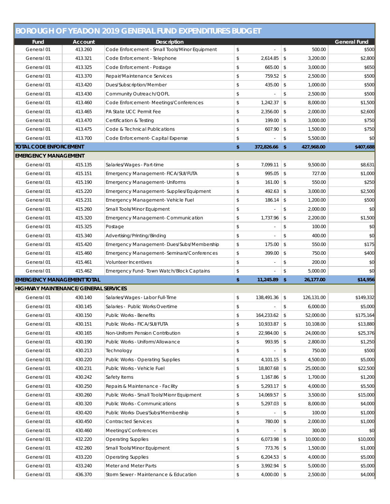|                                             |         | <b>BOROUGH OF YEADON 2019 GENERAL FUND EXPENDITURES BUDGET</b> |                           |              |            |                     |
|---------------------------------------------|---------|----------------------------------------------------------------|---------------------------|--------------|------------|---------------------|
| Fund                                        | Account | <b>Description</b>                                             |                           |              |            | <b>General Fund</b> |
| General 01                                  | 413.260 | Code Enforcement - Small Tools/Minor Equipment                 | \$                        | \$           | 500.00     | \$500               |
| General 01                                  | 413.321 | Code Enforcement - Telephone                                   | \$<br>2,614.85            | $\mathbb{S}$ | 3,200.00   | \$2,800             |
| General 01                                  | 413.325 | Code Enforcement - Postage                                     | \$<br>665.00              | $\mathbb{S}$ | 3,000.00   | \$650               |
| General 01                                  | 413.370 | Repair/Maintenance Services                                    | \$<br>759.52              | \$           | 2,500.00   | \$500               |
| General 01                                  | 413.420 | Dues/Subscription/Member                                       | \$<br>435.00              | \$           | 1,000.00   | \$500               |
| General 01                                  | 413.430 | Community Outreach/QOFL                                        | \$                        | \$           | 2,500.00   | \$500               |
| General 01                                  | 413.460 | Code Enforcement-Meetings/Conferences                          | \$<br>1,242.37            | $\mathbb{S}$ | 8,000.00   | \$1,500             |
| General 01                                  | 413.465 | PA State UCC Permit Fee                                        | \$<br>2,356.00            | $\mathbb{S}$ | 2,000.00   | \$2,600             |
| General 01                                  | 413.470 | Certification & Testing                                        | \$<br>199.00              | \$           | 3,000.00   | \$750               |
| General 01                                  | 413.475 | Code & Technical Publications                                  | \$<br>607.90              | \$           | 1,500.00   | \$750               |
| General 01                                  | 413.700 | Code Enforcement- Capital Expense                              | \$                        | \$           | 5,500.00   | \$0                 |
| <b>TOTAL CODE ENFORCEMENT</b>               |         |                                                                | \$<br>372,826.66 \$       |              | 427,968.00 | \$407,688           |
| <b>EMERGENCY MANAGEMENT</b>                 |         |                                                                |                           |              |            |                     |
| General 01                                  | 415.135 | Salaries/Wages - Part-time                                     | \$<br>7,099.11            | $\mathbb{S}$ | 9,500.00   | \$8,631             |
| General 01                                  | 415.151 | Emergency Management- FICA/SUI/FUTA                            | \$<br>995.05              | \$           | 727.00     | \$1,000             |
| General 01                                  | 415.190 | <b>Emergency Management- Uniforms</b>                          | \$<br>161.00              | \$           | 550.00     | \$250               |
| General 01                                  | 415.220 | Emergency Management-Supplies/Equipment                        | \$<br>492.63              | \$           | 3,000.00   | \$2,500             |
| General 01                                  | 415.231 | Emergency Management- Vehicle Fuel                             | \$<br>186.14              | \$           | 1,200.00   | \$500               |
| General 01                                  | 415.260 | Small Tools/Minor Equipment                                    | \$                        | \$           | 2,000.00   | \$0                 |
| General 01                                  | 415.320 | <b>Emergency Management- Communication</b>                     | \$<br>1,737.96            | \$           | 2,200.00   | \$1,500             |
| General 01                                  | 415.325 | Postage                                                        | \$                        | \$           | 100.00     | \$0                 |
| General 01                                  | 415.340 | Advertising/Printing/Binding                                   | \$                        | \$           | 400.00     | \$0                 |
| General 01                                  | 415.420 | Emergency Management-Dues/Subs/Membership                      | \$<br>175.00              | \$           | 550.00     | \$175               |
| General 01                                  | 415.460 | <b>Emergency Management-Seminars/Conferences</b>               | \$<br>399.00              | $\mathbb{S}$ | 750.00     | \$400               |
| General 01                                  | 415.461 | Volunteer Incentives                                           | \$                        | \$           | 200.00     | \$0                 |
| General 01                                  | 415.462 | Emergency Fund-Town Watch/Block Captains                       | \$                        | \$           | 5,000.00   | \$0                 |
| <b>EMERGENCY MANAGEMENT TOTAL</b>           |         |                                                                | \$<br>11,245.89           | - \$         | 26,177.00  | \$14,956            |
| <b>HIGHWAY MAINTENANCE/GENERAL SERVICES</b> |         |                                                                |                           |              |            |                     |
| General 01                                  | 430.140 | Salaries/Wages - Labor Full-Time                               | \$<br>138,491.36          | \$           | 126,131.00 | \$149,332           |
| General 01                                  | 430.145 | Salaries - Public Works Overtime                               | \$                        | \$           | 6,000.00   | \$5,000             |
| General 01                                  | 430.150 | Public Works - Benefits                                        | \$<br>$164,233.62$ \$     |              | 52,000.00  | \$175,164           |
| General 01                                  | 430.151 | Public Works - FICA/SUI/FUTA                                   | \$<br>10,933.87           | \$           | 10,108.00  | \$13,880            |
| General 01                                  | 430.165 | Non-Uniform Pension Contribution                               | \$<br>22,984.00           | \$           | 24,000.00  | \$25,376            |
| General 01                                  | 430.190 | Public Works - Uniform/Allowance                               | \$<br>993.95              | \$           | 2,800.00   | \$1,250             |
| General 01                                  | 430.213 | Technology                                                     | \$                        | \$           | 750.00     | \$500               |
| General 01                                  | 430.220 | <b>Public Works - Operating Supplies</b>                       | \$<br>4,101.15            | \$           | 4,500.00   | \$5,000             |
| General 01                                  | 430.231 | Public Works - Vehicle Fuel                                    | \$<br>18,807.68           | \$           | 25,000.00  | \$22,500            |
| General 01                                  | 430.242 | Safety Items                                                   | \$<br>1,167.86            | \$           | 1,700.00   | \$1,200             |
| General 01                                  | 430.250 | Repairs & Maintenance - Facility                               | \$<br>5,293.17            | \$           | 4,000.00   | \$5,500             |
| General 01                                  | 430.260 | Public Works - Small Tools/Mionr Equipment                     | \$<br>14,069.57           | \$           | 3,500.00   | \$15,000            |
| General 01                                  | 430.320 | Public Works - Communications                                  | \$<br>5,297.03            | \$           | 8,000.00   | \$4,000             |
| General 01                                  | 430.420 | Public Works-Dues/Subs/Membership                              | \$                        | \$           | 100.00     | \$1,000             |
| General 01                                  | 430.450 | Contracted Services                                            | \$<br>780.00              | \$           | 2,000.00   | \$1,000             |
| General 01                                  | 430.460 | Meetings/Conferences                                           | \$                        | \$           | 300.00     | \$0                 |
| General 01                                  | 432.220 | Operating Supplies                                             | \$<br>6,073.98            | \$           | 10,000.00  | \$10,000            |
| General 01                                  | 432.260 | Small Tools/Minor Equipment                                    | \$<br>773.76              | \$           | 1,500.00   | \$1,000             |
| General 01                                  | 433.220 | Operating Supplies                                             | \$<br>6,204.53            | \$           | 4,000.00   | \$5,000             |
| General 01                                  | 433.240 | Meter and Meter Parts                                          | \$<br>3,992.94            | $\mathbb{S}$ | 5,000.00   | \$5,000             |
| General 01                                  | 436.370 | Storm Sewer - Maintenance & Education                          | \$<br>4,000.00 $\vert$ \$ |              | 2,500.00   | \$4,000             |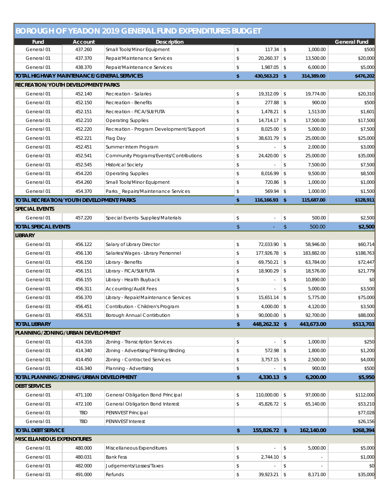|                                            |                    | <b>BOROUGH OF YEADON 2019 GENERAL FUND EXPENDITURES BUDGET</b> |            |                 |                |                      |                       |
|--------------------------------------------|--------------------|----------------------------------------------------------------|------------|-----------------|----------------|----------------------|-----------------------|
| Fund                                       | <b>Account</b>     | <b>Description</b>                                             |            |                 |                |                      | <b>General Fund</b>   |
| General 01                                 | 437.260            | Small Tools/Minor Equipment                                    | \$         | 117.34          | $\mathfrak{S}$ | 1,000.00             | \$500                 |
| General 01                                 | 437.370            | Repair/Maintenance Services                                    | \$         | 20,260.37       | $\mathfrak{S}$ | 13,500.00            | \$20,000              |
| General 01                                 | 438.370            | Repair/Maintenance Services                                    | \$         | 1,987.05        | \$             | 6,000.00             | \$5,000               |
| TOTAL HIGHWAY MAINTENANCE/GENERAL SERVICES |                    |                                                                | \$         | 430,563.23 \$   |                | 314,389.00           | \$476,202             |
| <b>RECREATION/YOUTH DEVELOPMENT/PARKS</b>  |                    |                                                                |            |                 |                |                      |                       |
| General 01                                 | 452.140            | Recreation - Salaries                                          | \$         | 19,312.09       | $\mathbb{S}$   | 19,774.00            | \$20,310              |
| General 01                                 | 452.150            | Recreation - Benefits                                          | \$         | 277.88          | $\mathbb{S}$   | 900.00               | \$500                 |
| General 01                                 | 452.151            | Recreation - FICA/SUI/FUTA                                     | \$         | 1,478.21        | $\mathfrak{S}$ | 1.513.00             | \$1,601               |
| General 01                                 | 452.210            | <b>Operating Supplies</b>                                      | \$         | 14,714.17       | $\mathbb{S}$   | 17,500.00            | \$17,500              |
| General 01                                 | 452.220            | Recreation - Program Development/Support                       | \$         | 8,025.00        | $\mathbb{S}$   | 5,000.00             | \$7,500               |
| General 01                                 | 452.221            | Flag Day                                                       | \$         | 38,631.79       | $\mathbb{S}$   | 25,000.00            | \$25,000              |
| General 01                                 | 452.451            | Summer Intern Program                                          | \$         |                 | \$             | 2,000.00             | \$3,000               |
| General 01                                 | 452.541            | Community Programs/Events/Contributions                        | \$         | 24,420.00       | \$             | 25,000.00            | \$35,000              |
| General 01                                 | 452.545            | <b>Historical Society</b>                                      | \$         |                 | \$             | 7,500.00             | \$7,500               |
| General 01                                 | 454.220            | <b>Operating Supplies</b>                                      | \$         | 8.016.99        | \$             | 9,500.00             | \$8,500               |
| General 01                                 | 454.260            | Small Tools/Minor Equipment                                    | \$         | 720.86          | $\mathbb{S}$   | 1,000.00             | \$1,000               |
| General 01                                 | 454.370            | Parks _ Repairs/Maintenance Services                           | \$         | 569.94          | $\sqrt{2}$     | 1,000.00             | \$1,500               |
| TOTAL RECREATION/YOUTH DEVELOPMENT/PARKS   |                    |                                                                | \$         | 116,166.93 \$   |                | 115,687.00           | \$128,911             |
| <b>SPECIAL EVENTS</b>                      |                    |                                                                |            |                 |                |                      |                       |
| General 01                                 | 457.220            | Special Events-Supplies/Materials                              | \$         |                 | \$             | 500.00               | \$2,500               |
| <b>TOTAL SPEICAL EVENTS</b>                |                    |                                                                | $\sqrt{2}$ |                 | \$             | 500.00               | \$2,500               |
| <b>LIBRARY</b>                             |                    |                                                                |            |                 |                |                      |                       |
| General 01                                 | 456.122            | Salary of Library Director                                     | \$         | 72,033.90       | \$             | 58,946.00            | \$60,714              |
| General 01                                 | 456.130            | Salaries/Wages - Library Personnel                             | \$         | 177,926.78      | $\mathbb{S}$   | 183,882.00           | \$188,763             |
| General 01                                 | 456.150            | Library - Benefits                                             | \$         | 69,750.21       | \$             | 63,784.00            | \$72,447              |
| General 01                                 | 456.151            | Library - FICA/SUI/FUTA                                        | \$         | 18,900.29       | \$             | 18,576.00            | \$21,779              |
| General 01                                 | 456.155            | Library - Health Buyback                                       | \$         |                 | \$             | 10,890.00            | \$0                   |
| General 01<br>General 01                   | 456.311            | <b>Accounting/Audit Fees</b>                                   | \$<br>\$   | 15,651.14       | \$<br>\$       | 5,000.00             | \$3,500               |
| General 01                                 | 456.370<br>456.451 | Library - Repair/Maintenance Services                          | \$         | $4,000.00$ \ \$ |                | 5,775.00<br>4.120.00 | \$75,000<br>\$3,500   |
| General 01                                 |                    | Contribution - Children's Program                              | \$         | $90,000.00$ \$  |                | 92,700.00            |                       |
| <b>TOTAL LIBRARY</b>                       | 456.531            | Borough Annual Contirbution                                    | \$         | 448,262.32 \$   |                | 443,673.00           | \$88,000<br>\$513,703 |
| PLANNING/ZONING/URBAN DEVELOPMENT          |                    |                                                                |            |                 |                |                      |                       |
| General 01                                 | 414.316            | Zoning - Transcription Services                                | \$         |                 | \$             | 1,000.00             | \$250                 |
| General 01                                 |                    | Zoning - Advertising/Printing/Binding                          | \$         | 572.98          | \$             |                      | \$1,200               |
| General 01                                 | 414.340<br>414.450 | Zoning - Contracted Services                                   | \$         | 3,757.15        | $\,$           | 1,800.00<br>2,500.00 | \$4,000               |
| General 01                                 | 416.340            | Planning - Advertising                                         | \$         |                 | \$             | 900.00               | \$500                 |
| TOTAL PLANNING/ZONING/URBAN DEVELOPMENT    |                    |                                                                | \$         | 4,330.13 \$     |                | 6,200.00             | \$5,950               |
| <b>DEBT SERVICES</b>                       |                    |                                                                |            |                 |                |                      |                       |
| General 01                                 | 471.100            | General Obligation Bond Principal                              | \$         | 110,000.00      | \$             | 97,000.00            | \$112,000             |
| General 01                                 | 472.100            | General Obligation Bond Interest                               | \$         | 45,826.72       | \$             | 65,140.00            | \$53,210              |
| General 01                                 | TBD                | PENNVEST Principal                                             |            |                 |                |                      | \$77,028              |
| General 01                                 | TBD                | <b>PENNVEST Interest</b>                                       |            |                 |                |                      | \$26,156              |
| <b>TOTAL DEBT SERVICE</b>                  |                    |                                                                | \$         | 155,826.72 \$   |                | 162,140.00           | \$268,394             |
| <b>MISCELLANEOUS EXPENDITURES</b>          |                    |                                                                |            |                 |                |                      |                       |
| General 01                                 | 480.000            | Miscellaneous Expenditures                                     | \$         |                 | \$             | 5,000.00             | \$5,000               |
| General 01                                 | 480.031            | <b>Bank Fess</b>                                               | \$         | 2,744.10        | \$             |                      | \$1,000               |
| General 01                                 | 482.000            | Judgements/Losses/Taxes                                        | \$         |                 | \$             |                      | \$0                   |
| General 01                                 | 491.000            | Refunds                                                        | \$         | $39,923.21$ \$  |                | 8,171.00             | \$35,000              |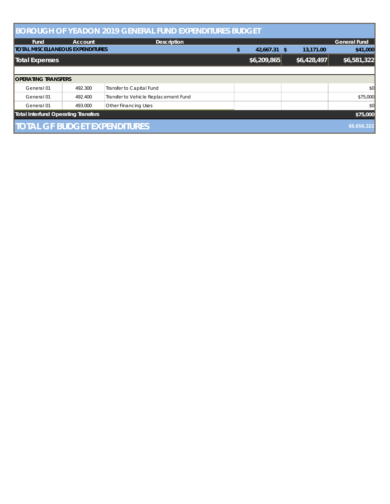|                                         |                                     | <b>BOROUGH OF YEADON 2019 GENERAL FUND EXPENDITURES BUDGET</b> |  |    |              |             |                     |
|-----------------------------------------|-------------------------------------|----------------------------------------------------------------|--|----|--------------|-------------|---------------------|
| Fund                                    | <b>Account</b>                      | <b>Description</b>                                             |  |    |              |             | <b>General Fund</b> |
| <b>TOTAL MISCELLANEOUS EXPENDITURES</b> |                                     |                                                                |  | \$ | 42,667.31 \$ | 13,171.00   | \$41,000            |
| Total Expenses                          |                                     |                                                                |  |    | \$6,209,865  | \$6,428,497 | \$6,581,322         |
|                                         |                                     |                                                                |  |    |              |             |                     |
| <b>IOPERATING TRANSFERS</b>             |                                     |                                                                |  |    |              |             |                     |
| General 01                              | 492.300                             | Transfer to Capital Fund                                       |  |    |              |             | \$0                 |
| General 01                              | 492.400                             | Transfer to Vehicle Replacement Fund                           |  |    |              |             | \$75,000            |
| General 01                              | 493.000                             | <b>Other Financing Uses</b>                                    |  |    |              |             | \$0                 |
| Total Interfund Operating Transfers     |                                     |                                                                |  |    |              |             | \$75,000            |
|                                         | <b>TOTAL GF BUDGET EXPENDITURES</b> |                                                                |  |    |              |             | \$6,656,322         |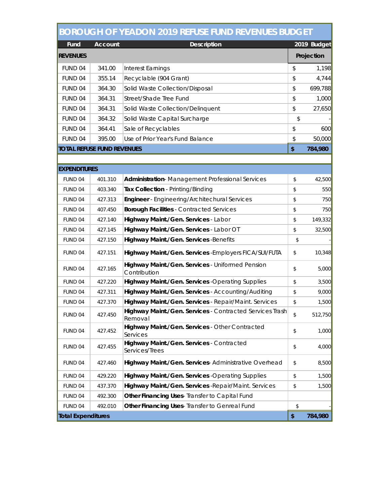|                     |                                   | <b>BOROUGH OF YEADON 2019 REFUSE FUND REVENUES BUDGET</b>           |            |             |
|---------------------|-----------------------------------|---------------------------------------------------------------------|------------|-------------|
| Fund                | <b>Account</b>                    | <b>Description</b>                                                  |            | 2019 Budget |
| <b>REVENUES</b>     |                                   |                                                                     |            | Projection  |
| FUND 04             | 341.00                            | Interest Earnings                                                   | \$         | 1,198       |
| FUND 04             | 355.14                            | Recyclable (904 Grant)                                              | \$         | 4,744       |
| FUND <sub>04</sub>  | 364.30                            | Solid Waste Collection/Disposal                                     | \$         | 699,788     |
| FUND 04             | 364.31                            | Street/Shade Tree Fund                                              | \$         | 1,000       |
| FUND 04             | 364.31                            | Solid Waste Collection/Delinquent                                   | \$         | 27,650      |
| FUND <sub>04</sub>  | 364.32                            | Solid Waste Capital Surcharge                                       | \$         |             |
| FUND 04             | 364.41                            | Sale of Recyclables                                                 | \$         | 600         |
| FUND 04             | 395.00                            | Use of Prior Year's Fund Balance                                    | \$         | 50,000      |
|                     | <b>TOTAL REFUSE FUND REVENUES</b> |                                                                     | \$         | 784,980     |
|                     |                                   |                                                                     |            |             |
| <b>EXPENDITURES</b> |                                   |                                                                     |            |             |
| FUND <sub>04</sub>  | 401.310                           | Administration-Management Professional Services                     | \$         | 42,500      |
| FUND 04             | 403.340                           | Tax Collection - Printing/Binding                                   | \$         | 550         |
| FUND 04             | 427.313                           | Engineer - Engineering/Architechural Services                       | \$         | 750         |
| FUND 04             | 407.450                           | <b>Borough Facilities - Contracted Services</b>                     | \$         | 750         |
| FUND 04             | 427.140                           | Highway Maint./Gen. Services - Labor                                | \$         | 149,332     |
| FUND 04             | 427.145                           | Highway Maint./Gen. Services - Labor OT                             | \$         | 32,500      |
| FUND 04             | 427.150                           | Highway Maint./Gen. Services -Benefits                              | \$         |             |
| FUND 04             | 427.151                           | Highway Maint./Gen. Services - Employers FICA/SUI/FUTA              | \$         | 10,348      |
| FUND 04             | 427.165                           | Highway Maint./Gen. Services - Uniformed Pension<br>Contribution    | \$         | 5,000       |
| FUND <sub>04</sub>  | 427.220                           | Highway Maint./Gen. Services -Operating Supplies                    | \$         | 3,500       |
| FUND 04             | 427.311                           | Highway Maint./Gen. Services - Accounting/Auditing                  | \$         | 9,000       |
| FUND 04             | 427.370                           | Highway Maint./Gen. Services - Repair/Maint. Services               | \$         | 1,500       |
| FUND 04             | 427.450                           | Highway Maint./Gen. Services - Contracted Services Trash<br>Removal | \$         | 512,750     |
| FUND 04             | 427.452                           | Highway Maint./Gen. Services - Other Contracted<br>Services         | $\,$       | 1,000       |
| FUND 04             | 427.455                           | Highway Maint./Gen. Services - Contracted<br>Services/Trees         | \$         | 4,000       |
| FUND 04             | 427.460                           | Highway Maint./Gen. Services- Administrative Overhead               | \$         | 8,500       |
| FUND 04             | 429.220                           | Highway Maint./Gen. Services -Operating Supplies                    | \$         | 1,500       |
| FUND 04             | 437.370                           | Highway Maint./Gen. Services - Repair/Maint. Services               | \$         | 1,500       |
| FUND 04             | 492.300                           | Other Financing Uses- Transfer to Capital Fund                      |            |             |
| FUND 04             | 492.010                           | Other Financing Uses- Transfer to Genreal Fund                      | \$         |             |
| Total Expenditures  |                                   |                                                                     | $\pmb{\$}$ | 784,980     |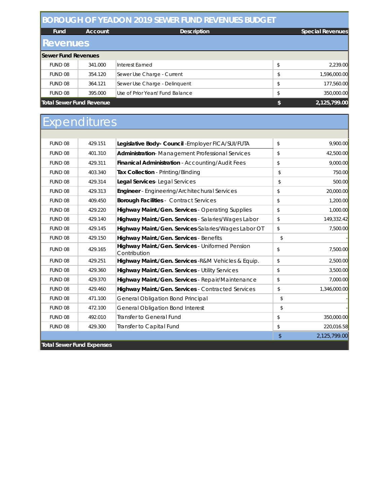#### **BOROUGH OF YEADON 2019 SEWER FUND REVENUES BUDGET**

| Fund                       | Account | <b>Description</b>               |    | <b>Special Revenues</b> |  |  |
|----------------------------|---------|----------------------------------|----|-------------------------|--|--|
| <b>Revenues</b>            |         |                                  |    |                         |  |  |
| <b>Sewer Fund Revenues</b> |         |                                  |    |                         |  |  |
| FUND 08                    | 341.000 | Interest Farned                  | \$ | 2,239.00                |  |  |
| FUND 08                    | 354.120 | Sewer Use Charge - Current       | \$ | 1,596,000.00            |  |  |
| FUND 08                    | 364.121 | Sewer Use Charge - Delinquent    | \$ | 177,560.00              |  |  |
| FUND 08                    | 395.000 | Use of Prior Years' Fund Balance | \$ | 350,000.00              |  |  |
| Total Sewer Fund Revenue   |         |                                  |    | 2,125,799.00            |  |  |

#### **Expenditures** FUND 08 429.151 **Legislative Body- Council** -Employer FICA/SUI/FUTA \$ 9,900.00 FUND 08 401.310 **Administration**- Management Professional Services \$ 42,500.00 FUND 08 429.311 **Finanical Administration** - Accounting/Audit Fees \$ \$ 9,000.00 FUND 08 403.340 **Tax Collection** - Printing/Binding \$ 750.00 FUND 08 429.314 **Legal Services**- Legal Services  $\frac{1}{3}$  \$ 500.00 FUND 08 429.313 **Engineer** - Engineering/Architechural Services **\$** \$ 20,000.00 FUND 08 409.450 **Borough Facilities** - Contract Services \$ 1,200.00 FUND 08 429.220 **Highway Maint./Gen. Services** - Operating Supplies \$ 1,000.00 FUND 08 429.140 **Highway Maint./Gen. Services** - Salaries/Wages Labor \$ 149,332.42 FUND 08 429.145 **Highway Maint./Gen. Services**-Salaries/Wages Labor OT \$ 7,500.00 FUND 08 429.150 **Highway Maint./Gen. Services** - Benefits \$ - FUND 08 429.165 **Highway Maint./Gen. Services** - Uniformed Pension Contribution 7,500.00 FUND 08 429.251 **Highway Maint./Gen. Services** -R&M Vehicles & Equip. \$ 2,500.00 FUND 08 **429.360 <b>Highway Maint./Gen. Services** - Utility Services **1** \$ 3,500.00 FUND 08 429.370 **Highway Maint./Gen. Services** - Repair/Maintenance \$ 7,000.00 FUND 08 429.460 **Highway Maint./Gen. Services** - Contracted Services \$ 1,346,000.00 FUND 08 | 471.100 General Obligation Bond Principal | \$ FUND 08 472.100 General Obligation Bond Interest \$ FUND 08 492.010 Transfer to General Fund \$ 350,000.00 FUND 08 429.300 Transfer to Capital Fund 5 3 220,016.58 \$ 2,125,799.00

**Total Sewer Fund Expenses**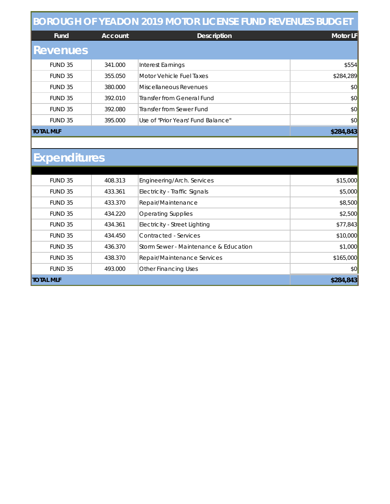## **BOROUGH OF YEADON 2019 MOTOR LICENSE FUND REVENUES BUDGET**

| Fund             | Account | <b>Description</b>                 | Motor LF  |
|------------------|---------|------------------------------------|-----------|
| <b>Revenues</b>  |         |                                    |           |
| FUND 35          | 341.000 | Interest Earnings                  | \$554     |
| FUND 35          | 355.050 | Motor Vehicle Fuel Taxes           | \$284,289 |
| FUND 35          | 380.000 | Miscellaneous Revenues             | \$0       |
| FUND 35          | 392.010 | Transfer from General Fund         | \$0       |
| FUND 35          | 392.080 | Transfer from Sewer Fund           | \$0       |
| FUND 35          | 395,000 | Use of "Prior Years' Fund Balance" | \$0       |
| <b>TOTAL MLF</b> |         |                                    | \$284,843 |

# **Expenditures**

| FUND 35          | 408.313 | Engineering/Arch. Services            | \$15,000  |
|------------------|---------|---------------------------------------|-----------|
| <b>FUND 35</b>   | 433.361 | Electricity - Traffic Signals         | \$5,000   |
| FUND 35          | 433.370 | Repair/Maintenance                    | \$8,500   |
| <b>FUND 35</b>   | 434.220 | <b>Operating Supplies</b>             | \$2,500   |
| FUND 35          | 434.361 | Electricity - Street Lighting         | \$77,843  |
| <b>FUND 35</b>   | 434.450 | Contracted - Services                 | \$10,000  |
| <b>FUND 35</b>   | 436.370 | Storm Sewer - Maintenance & Education | \$1,000   |
| FUND 35          | 438.370 | Repair/Maintenance Services           | \$165,000 |
| FUND 35          | 493.000 | <b>Other Financing Uses</b>           | \$0       |
| <b>TOTAL MLF</b> |         |                                       | \$284,843 |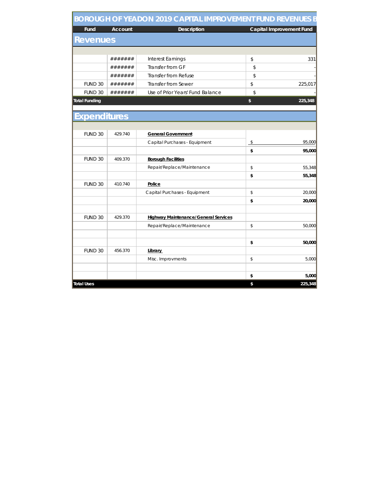| Fund                 | <b>Account</b> | Description                                 | <b>Capital Improvement Fund</b> |
|----------------------|----------------|---------------------------------------------|---------------------------------|
| <b>Revenues</b>      |                |                                             |                                 |
|                      |                |                                             |                                 |
|                      | #######        | Interest Earnings                           | \$<br>331                       |
|                      | #######        | Transfer from GF                            | \$                              |
|                      | #######        | <b>Transfer from Refuse</b>                 | \$                              |
| FUND 30              | #######        | <b>Transfer from Sewer</b>                  | \$<br>225,017                   |
| FUND 30              | #######        | Use of Prior Years' Fund Balance            | \$                              |
| <b>Total Funding</b> |                |                                             | \$<br>225,348                   |
|                      |                |                                             |                                 |
| <b>Expenditures</b>  |                |                                             |                                 |
|                      |                |                                             |                                 |
| FUND 30              | 429.740        | <b>General Government</b>                   |                                 |
|                      |                | Capital Purchases - Equipment               | \$<br>95,000                    |
|                      |                |                                             | \$<br>95,000                    |
| FUND 30              | 409.370        | <b>Borough Facilities</b>                   |                                 |
|                      |                | Repair/Replace/Maintenance                  | \$<br>55,348                    |
|                      |                |                                             | \$<br>55,348                    |
| FUND 30              | 410.740        | Police                                      |                                 |
|                      |                | Capital Purchases - Equipment               | \$<br>20,000                    |
|                      |                |                                             | \$<br>20,000                    |
|                      |                |                                             |                                 |
| FUND 30              | 429.370        | <b>Highway Maintenance/General Services</b> |                                 |
|                      |                | Repair/Replace/Maintenance                  | \$<br>50,000                    |
|                      |                |                                             |                                 |
|                      |                |                                             | \$<br>50,000                    |
| FUND 30              | 456.370        | Library                                     |                                 |
|                      |                | Misc. Improvments                           | \$<br>5,000                     |
|                      |                |                                             |                                 |
|                      |                |                                             |                                 |